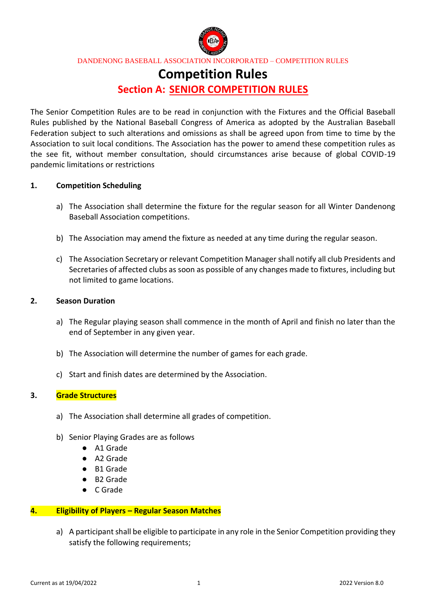

# **Competition Rules**

# **Section A: SENIOR COMPETITION RULES**

The Senior Competition Rules are to be read in conjunction with the Fixtures and the Official Baseball Rules published by the National Baseball Congress of America as adopted by the Australian Baseball Federation subject to such alterations and omissions as shall be agreed upon from time to time by the Association to suit local conditions. The Association has the power to amend these competition rules as the see fit, without member consultation, should circumstances arise because of global COVID-19 pandemic limitations or restrictions

### **1. Competition Scheduling**

- a) The Association shall determine the fixture for the regular season for all Winter Dandenong Baseball Association competitions.
- b) The Association may amend the fixture as needed at any time during the regular season.
- c) The Association Secretary or relevant Competition Manager shall notify all club Presidents and Secretaries of affected clubs as soon as possible of any changes made to fixtures, including but not limited to game locations.

#### **2. Season Duration**

- a) The Regular playing season shall commence in the month of April and finish no later than the end of September in any given year.
- b) The Association will determine the number of games for each grade.
- c) Start and finish dates are determined by the Association.

#### **3. Grade Structures**

- a) The Association shall determine all grades of competition.
- b) Senior Playing Grades are as follows
	- A1 Grade
	- A2 Grade
	- B1 Grade
	- B2 Grade
	- C Grade

#### **4. Eligibility of Players – Regular Season Matches**

a) A participant shall be eligible to participate in any role in the Senior Competition providing they satisfy the following requirements;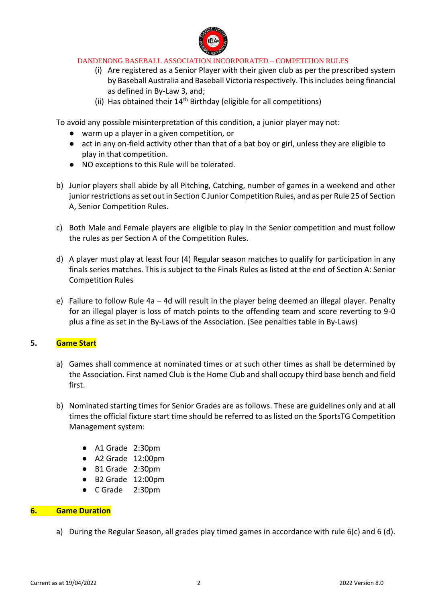

- (i) Are registered as a Senior Player with their given club as per the prescribed system by Baseball Australia and Baseball Victoria respectively. This includes being financial as defined in By-Law 3, and;
- (ii) Has obtained their  $14<sup>th</sup>$  Birthday (eligible for all competitions)

To avoid any possible misinterpretation of this condition, a junior player may not:

- warm up a player in a given competition, or
- act in any on-field activity other than that of a bat boy or girl, unless they are eligible to play in that competition.
- NO exceptions to this Rule will be tolerated.
- b) Junior players shall abide by all Pitching, Catching, number of games in a weekend and other junior restrictions as set out in Section C Junior Competition Rules, and as per Rule 25 of Section A, Senior Competition Rules.
- c) Both Male and Female players are eligible to play in the Senior competition and must follow the rules as per Section A of the Competition Rules.
- d) A player must play at least four (4) Regular season matches to qualify for participation in any finals series matches. This is subject to the Finals Rules as listed at the end of Section A: Senior Competition Rules
- e) Failure to follow Rule 4a 4d will result in the player being deemed an illegal player. Penalty for an illegal player is loss of match points to the offending team and score reverting to 9-0 plus a fine as set in the By-Laws of the Association. (See penalties table in By-Laws)

### **5. Game Start**

- a) Games shall commence at nominated times or at such other times as shall be determined by the Association. First named Club is the Home Club and shall occupy third base bench and field first.
- b) Nominated starting times for Senior Grades are as follows. These are guidelines only and at all times the official fixture start time should be referred to as listed on the SportsTG Competition Management system:
	- A1 Grade 2:30pm
	- A2 Grade 12:00pm
	- B1 Grade 2:30pm
	- B2 Grade 12:00pm
	- C Grade 2:30pm

### **6. Game Duration**

a) During the Regular Season, all grades play timed games in accordance with rule 6(c) and 6 (d).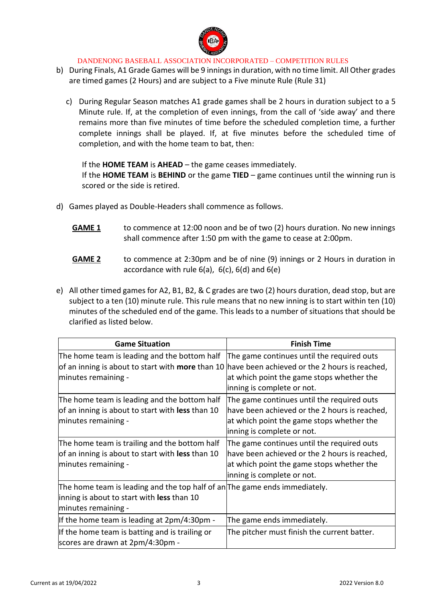

- b) During Finals, A1 Grade Games will be 9 innings in duration, with no time limit. All Other grades are timed games (2 Hours) and are subject to a Five minute Rule (Rule 31)
	- c) During Regular Season matches A1 grade games shall be 2 hours in duration subject to a 5 Minute rule. If, at the completion of even innings, from the call of 'side away' and there remains more than five minutes of time before the scheduled completion time, a further complete innings shall be played. If, at five minutes before the scheduled time of completion, and with the home team to bat, then:

If the **HOME TEAM** is **AHEAD** – the game ceases immediately. If the **HOME TEAM** is **BEHIND** or the game **TIED** – game continues until the winning run is scored or the side is retired.

- d) Games played as Double-Headers shall commence as follows.
	- **GAME 1** to commence at 12:00 noon and be of two (2) hours duration. No new innings shall commence after 1:50 pm with the game to cease at 2:00pm.
	- **GAME 2** to commence at 2:30pm and be of nine (9) innings or 2 Hours in duration in accordance with rule 6(a), 6(c), 6(d) and 6(e)
- e) All other timed games for A2, B1, B2, & C grades are two (2) hours duration, dead stop, but are subject to a ten (10) minute rule. This rule means that no new inning is to start within ten (10) minutes of the scheduled end of the game. This leads to a number of situations that should be clarified as listed below.

| <b>Game Situation</b>                                                                                                                           | <b>Finish Time</b>                                                                                                                                                     |
|-------------------------------------------------------------------------------------------------------------------------------------------------|------------------------------------------------------------------------------------------------------------------------------------------------------------------------|
| The home team is leading and the bottom half<br>of an inning is about to start with more than 10 have been achieved or the 2 hours is reached,  | The game continues until the required outs                                                                                                                             |
| minutes remaining -                                                                                                                             | at which point the game stops whether the<br>inning is complete or not.                                                                                                |
| The home team is leading and the bottom half<br>of an inning is about to start with less than 10<br>minutes remaining -                         | The game continues until the required outs<br>have been achieved or the 2 hours is reached,<br>at which point the game stops whether the<br>inning is complete or not. |
| The home team is trailing and the bottom half<br>of an inning is about to start with less than 10<br>minutes remaining -                        | The game continues until the required outs<br>have been achieved or the 2 hours is reached,<br>at which point the game stops whether the<br>inning is complete or not. |
| The home team is leading and the top half of an The game ends immediately.<br>inning is about to start with less than 10<br>minutes remaining - |                                                                                                                                                                        |
| If the home team is leading at 2pm/4:30pm -                                                                                                     | The game ends immediately.                                                                                                                                             |
| If the home team is batting and is trailing or<br>scores are drawn at 2pm/4:30pm -                                                              | The pitcher must finish the current batter.                                                                                                                            |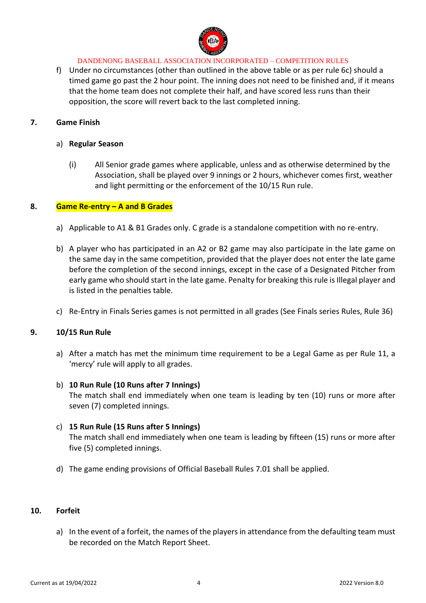

f) Under no circumstances (other than outlined in the above table or as per rule 6c) should a timed game go past the 2 hour point. The inning does not need to be finished and, if it means that the home team does not complete their half, and have scored less runs than their opposition, the score will revert back to the last completed inning.

### **7. Game Finish**

### a) **Regular Season**

(i) All Senior grade games where applicable, unless and as otherwise determined by the Association, shall be played over 9 innings or 2 hours, whichever comes first, weather and light permitting or the enforcement of the 10/15 Run rule.

### **8. Game Re-entry – A and B Grades**

- a) Applicable to A1 & B1 Grades only. C grade is a standalone competition with no re-entry.
- b) A player who has participated in an A2 or B2 game may also participate in the late game on the same day in the same competition, provided that the player does not enter the late game before the completion of the second innings, except in the case of a Designated Pitcher from early game who should start in the late game. Penalty for breaking this rule is Illegal player and is listed in the penalties table.
- c) Re-Entry in Finals Series games is not permitted in all grades (See Finals series Rules, Rule 36)

#### **9. 10/15 Run Rule**

a) After a match has met the minimum time requirement to be a Legal Game as per Rule 11, a 'mercy' rule will apply to all grades.

### b) **10 Run Rule (10 Runs after 7 Innings)**

The match shall end immediately when one team is leading by ten (10) runs or more after seven (7) completed innings.

#### c) **15 Run Rule (15 Runs after 5 Innings)**

The match shall end immediately when one team is leading by fifteen (15) runs or more after five (5) completed innings.

d) The game ending provisions of Official Baseball Rules 7.01 shall be applied.

### **10. Forfeit**

a) In the event of a forfeit, the names of the players in attendance from the defaulting team must be recorded on the Match Report Sheet.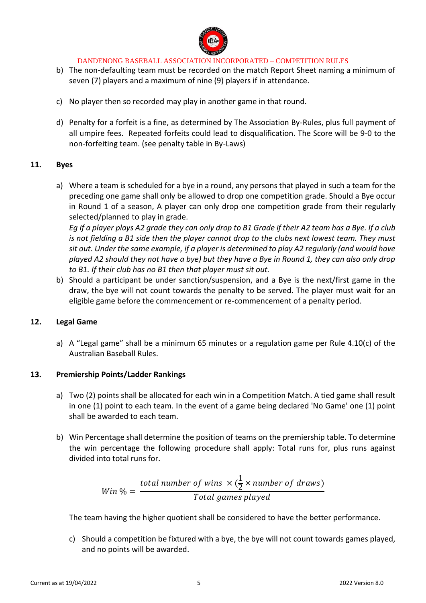

- b) The non-defaulting team must be recorded on the match Report Sheet naming a minimum of seven (7) players and a maximum of nine (9) players if in attendance.
- c) No player then so recorded may play in another game in that round.
- d) Penalty for a forfeit is a fine, as determined by The Association By-Rules, plus full payment of all umpire fees. Repeated forfeits could lead to disqualification. The Score will be 9-0 to the non-forfeiting team. (see penalty table in By-Laws)

### **11. Byes**

a) Where a team is scheduled for a bye in a round, any persons that played in such a team for the preceding one game shall only be allowed to drop one competition grade. Should a Bye occur in Round 1 of a season, A player can only drop one competition grade from their regularly selected/planned to play in grade.

*Eg If a player plays A2 grade they can only drop to B1 Grade if their A2 team has a Bye. If a club is not fielding a B1 side then the player cannot drop to the clubs next lowest team. They must sit out. Under the same example, if a player is determined to play A2 regularly (and would have played A2 should they not have a bye) but they have a Bye in Round 1, they can also only drop to B1. If their club has no B1 then that player must sit out.*

b) Should a participant be under sanction/suspension, and a Bye is the next/first game in the draw, the bye will not count towards the penalty to be served. The player must wait for an eligible game before the commencement or re-commencement of a penalty period.

### **12. Legal Game**

a) A "Legal game" shall be a minimum 65 minutes or a regulation game per Rule 4.10(c) of the Australian Baseball Rules.

### **13. Premiership Points/Ladder Rankings**

- a) Two (2) points shall be allocated for each win in a Competition Match. A tied game shall result in one (1) point to each team. In the event of a game being declared 'No Game' one (1) point shall be awarded to each team.
- b) Win Percentage shall determine the position of teams on the premiership table. To determine the win percentage the following procedure shall apply: Total runs for, plus runs against divided into total runs for.

 $Win\% =$ total number of wins  $\times(\frac{1}{2})$  $\frac{1}{2}$  × number of draws) Total games played

The team having the higher quotient shall be considered to have the better performance.

c) Should a competition be fixtured with a bye, the bye will not count towards games played, and no points will be awarded.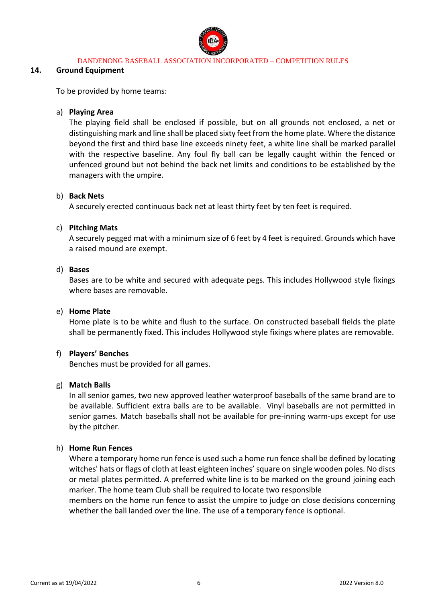

#### **14. Ground Equipment**

To be provided by home teams:

### a) **Playing Area**

The playing field shall be enclosed if possible, but on all grounds not enclosed, a net or distinguishing mark and line shall be placed sixty feet from the home plate. Where the distance beyond the first and third base line exceeds ninety feet, a white line shall be marked parallel with the respective baseline. Any foul fly ball can be legally caught within the fenced or unfenced ground but not behind the back net limits and conditions to be established by the managers with the umpire.

#### b) **Back Nets**

A securely erected continuous back net at least thirty feet by ten feet is required.

#### c) **Pitching Mats**

A securely pegged mat with a minimum size of 6 feet by 4 feet is required. Grounds which have a raised mound are exempt.

#### d) **Bases**

Bases are to be white and secured with adequate pegs. This includes Hollywood style fixings where bases are removable.

#### e) **Home Plate**

Home plate is to be white and flush to the surface. On constructed baseball fields the plate shall be permanently fixed. This includes Hollywood style fixings where plates are removable.

#### f) **Players' Benches**

Benches must be provided for all games.

#### g) **Match Balls**

In all senior games, two new approved leather waterproof baseballs of the same brand are to be available. Sufficient extra balls are to be available. Vinyl baseballs are not permitted in senior games. Match baseballs shall not be available for pre-inning warm-ups except for use by the pitcher.

#### h) **Home Run Fences**

Where a temporary home run fence is used such a home run fence shall be defined by locating witches' hats or flags of cloth at least eighteen inches' square on single wooden poles. No discs or metal plates permitted. A preferred white line is to be marked on the ground joining each marker. The home team Club shall be required to locate two responsible

members on the home run fence to assist the umpire to judge on close decisions concerning whether the ball landed over the line. The use of a temporary fence is optional.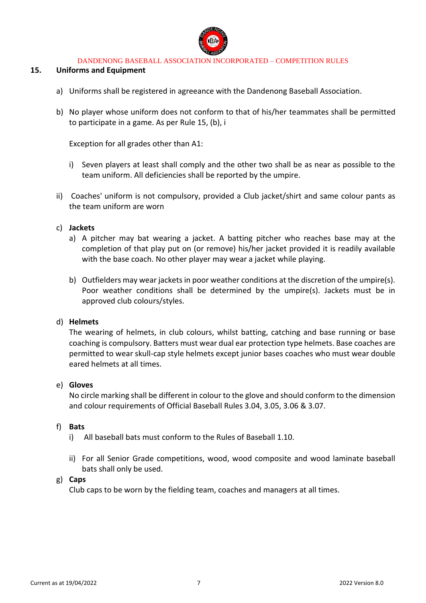

### **15. Uniforms and Equipment**

- a) Uniforms shall be registered in agreeance with the Dandenong Baseball Association.
- b) No player whose uniform does not conform to that of his/her teammates shall be permitted to participate in a game. As per Rule 15, (b), i

Exception for all grades other than A1:

- i) Seven players at least shall comply and the other two shall be as near as possible to the team uniform. All deficiencies shall be reported by the umpire.
- ii) Coaches' uniform is not compulsory, provided a Club jacket/shirt and same colour pants as the team uniform are worn

#### c) **Jackets**

- a) A pitcher may bat wearing a jacket. A batting pitcher who reaches base may at the completion of that play put on (or remove) his/her jacket provided it is readily available with the base coach. No other player may wear a jacket while playing.
- b) Outfielders may wear jackets in poor weather conditions at the discretion of the umpire(s). Poor weather conditions shall be determined by the umpire(s). Jackets must be in approved club colours/styles.

#### d) **Helmets**

The wearing of helmets, in club colours, whilst batting, catching and base running or base coaching is compulsory. Batters must wear dual ear protection type helmets. Base coaches are permitted to wear skull-cap style helmets except junior bases coaches who must wear double eared helmets at all times.

#### e) **Gloves**

No circle marking shall be different in colour to the glove and should conform to the dimension and colour requirements of Official Baseball Rules 3.04, 3.05, 3.06 & 3.07.

#### f) **Bats**

- i) All baseball bats must conform to the Rules of Baseball 1.10.
- ii) For all Senior Grade competitions, wood, wood composite and wood laminate baseball bats shall only be used.

#### g) **Caps**

Club caps to be worn by the fielding team, coaches and managers at all times.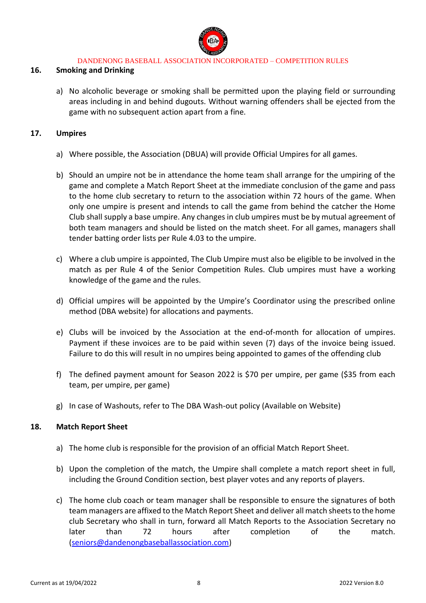

### **16. Smoking and Drinking**

a) No alcoholic beverage or smoking shall be permitted upon the playing field or surrounding areas including in and behind dugouts. Without warning offenders shall be ejected from the game with no subsequent action apart from a fine.

### **17. Umpires**

- a) Where possible, the Association (DBUA) will provide Official Umpires for all games.
- b) Should an umpire not be in attendance the home team shall arrange for the umpiring of the game and complete a Match Report Sheet at the immediate conclusion of the game and pass to the home club secretary to return to the association within 72 hours of the game. When only one umpire is present and intends to call the game from behind the catcher the Home Club shall supply a base umpire. Any changes in club umpires must be by mutual agreement of both team managers and should be listed on the match sheet. For all games, managers shall tender batting order lists per Rule 4.03 to the umpire.
- c) Where a club umpire is appointed, The Club Umpire must also be eligible to be involved in the match as per Rule 4 of the Senior Competition Rules. Club umpires must have a working knowledge of the game and the rules.
- d) Official umpires will be appointed by the Umpire's Coordinator using the prescribed online method (DBA website) for allocations and payments.
- e) Clubs will be invoiced by the Association at the end-of-month for allocation of umpires. Payment if these invoices are to be paid within seven (7) days of the invoice being issued. Failure to do this will result in no umpires being appointed to games of the offending club
- f) The defined payment amount for Season 2022 is \$70 per umpire, per game (\$35 from each team, per umpire, per game)
- g) In case of Washouts, refer to The DBA Wash-out policy (Available on Website)

### **18. Match Report Sheet**

- a) The home club is responsible for the provision of an official Match Report Sheet.
- b) Upon the completion of the match, the Umpire shall complete a match report sheet in full, including the Ground Condition section, best player votes and any reports of players.
- c) The home club coach or team manager shall be responsible to ensure the signatures of both team managers are affixed to the Match Report Sheet and deliver all match sheets to the home club Secretary who shall in turn, forward all Match Reports to the Association Secretary no later than 72 hours after completion of the match. [\(seniors@dandenongbaseballassociation.com\)](mailto:seniors@dandenongbaseballassociation.com)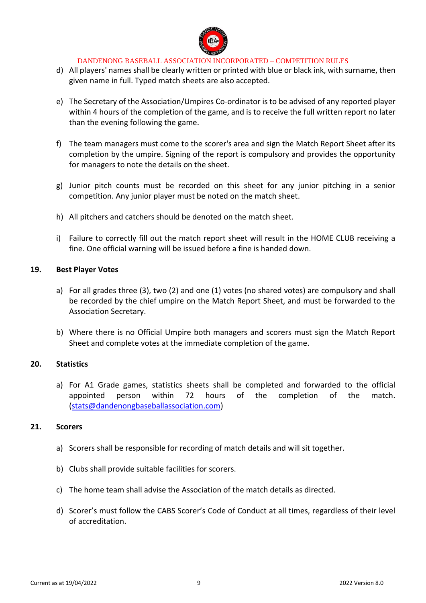

- d) All players' names shall be clearly written or printed with blue or black ink, with surname, then given name in full. Typed match sheets are also accepted.
- e) The Secretary of the Association/Umpires Co-ordinator is to be advised of any reported player within 4 hours of the completion of the game, and is to receive the full written report no later than the evening following the game.
- f) The team managers must come to the scorer's area and sign the Match Report Sheet after its completion by the umpire. Signing of the report is compulsory and provides the opportunity for managers to note the details on the sheet.
- g) Junior pitch counts must be recorded on this sheet for any junior pitching in a senior competition. Any junior player must be noted on the match sheet.
- h) All pitchers and catchers should be denoted on the match sheet.
- i) Failure to correctly fill out the match report sheet will result in the HOME CLUB receiving a fine. One official warning will be issued before a fine is handed down.

### **19. Best Player Votes**

- a) For all grades three (3), two (2) and one (1) votes (no shared votes) are compulsory and shall be recorded by the chief umpire on the Match Report Sheet, and must be forwarded to the Association Secretary.
- b) Where there is no Official Umpire both managers and scorers must sign the Match Report Sheet and complete votes at the immediate completion of the game.

### **20. Statistics**

a) For A1 Grade games, statistics sheets shall be completed and forwarded to the official appointed person within 72 hours of the completion of the match. [\(stats@dandenongbaseballassociation.com\)](mailto:stats@dandenongbaseballassociation.com)

### **21. Scorers**

- a) Scorers shall be responsible for recording of match details and will sit together.
- b) Clubs shall provide suitable facilities for scorers.
- c) The home team shall advise the Association of the match details as directed.
- d) Scorer's must follow the CABS Scorer's Code of Conduct at all times, regardless of their level of accreditation.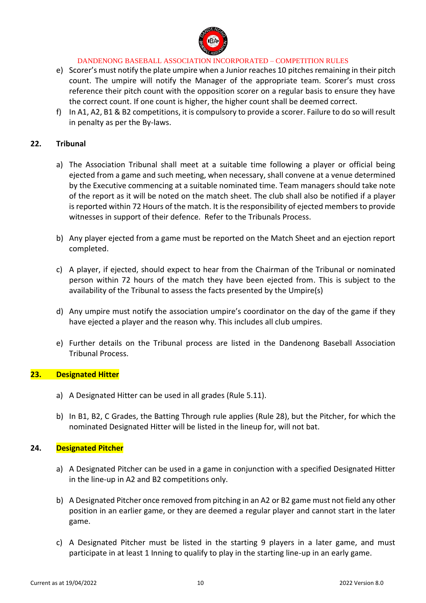

- e) Scorer's must notify the plate umpire when a Junior reaches 10 pitches remaining in their pitch count. The umpire will notify the Manager of the appropriate team. Scorer's must cross reference their pitch count with the opposition scorer on a regular basis to ensure they have the correct count. If one count is higher, the higher count shall be deemed correct.
- f) In A1, A2, B1 & B2 competitions, it is compulsory to provide a scorer. Failure to do so will result in penalty as per the By-laws.

### **22. Tribunal**

- a) The Association Tribunal shall meet at a suitable time following a player or official being ejected from a game and such meeting, when necessary, shall convene at a venue determined by the Executive commencing at a suitable nominated time. Team managers should take note of the report as it will be noted on the match sheet. The club shall also be notified if a player is reported within 72 Hours of the match. It is the responsibility of ejected members to provide witnesses in support of their defence. Refer to the Tribunals Process.
- b) Any player ejected from a game must be reported on the Match Sheet and an ejection report completed.
- c) A player, if ejected, should expect to hear from the Chairman of the Tribunal or nominated person within 72 hours of the match they have been ejected from. This is subject to the availability of the Tribunal to assess the facts presented by the Umpire(s)
- d) Any umpire must notify the association umpire's coordinator on the day of the game if they have ejected a player and the reason why. This includes all club umpires.
- e) Further details on the Tribunal process are listed in the Dandenong Baseball Association Tribunal Process.

### **23. Designated Hitter**

- a) A Designated Hitter can be used in all grades (Rule 5.11).
- b) In B1, B2, C Grades, the Batting Through rule applies (Rule 28), but the Pitcher, for which the nominated Designated Hitter will be listed in the lineup for, will not bat.

### **24. Designated Pitcher**

- a) A Designated Pitcher can be used in a game in conjunction with a specified Designated Hitter in the line-up in A2 and B2 competitions only.
- b) A Designated Pitcher once removed from pitching in an A2 or B2 game must not field any other position in an earlier game, or they are deemed a regular player and cannot start in the later game.
- c) A Designated Pitcher must be listed in the starting 9 players in a later game, and must participate in at least 1 Inning to qualify to play in the starting line-up in an early game.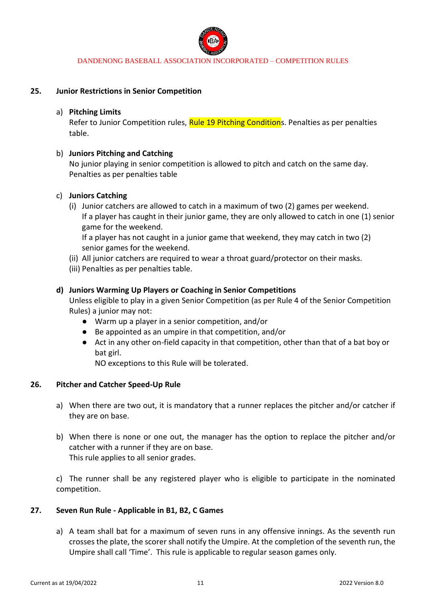

### **25. Junior Restrictions in Senior Competition**

### a) **Pitching Limits**

Refer to Junior Competition rules, Rule 19 Pitching Conditions. Penalties as per penalties table.

### b) **Juniors Pitching and Catching**

No junior playing in senior competition is allowed to pitch and catch on the same day. Penalties as per penalties table

### c) **Juniors Catching**

(i) Junior catchers are allowed to catch in a maximum of two (2) games per weekend. If a player has caught in their junior game, they are only allowed to catch in one (1) senior game for the weekend.

If a player has not caught in a junior game that weekend, they may catch in two (2) senior games for the weekend.

- (ii) All junior catchers are required to wear a throat guard/protector on their masks.
- (iii) Penalties as per penalties table.

### **d) Juniors Warming Up Players or Coaching in Senior Competitions**

Unless eligible to play in a given Senior Competition (as per Rule 4 of the Senior Competition Rules) a junior may not:

- Warm up a player in a senior competition, and/or
- Be appointed as an umpire in that competition, and/or
- Act in any other on-field capacity in that competition, other than that of a bat boy or bat girl.

NO exceptions to this Rule will be tolerated.

#### **26. Pitcher and Catcher Speed-Up Rule**

- a) When there are two out, it is mandatory that a runner replaces the pitcher and/or catcher if they are on base.
- b) When there is none or one out, the manager has the option to replace the pitcher and/or catcher with a runner if they are on base. This rule applies to all senior grades.

c) The runner shall be any registered player who is eligible to participate in the nominated competition.

### **27. Seven Run Rule - Applicable in B1, B2, C Games**

a) A team shall bat for a maximum of seven runs in any offensive innings. As the seventh run crosses the plate, the scorer shall notify the Umpire. At the completion of the seventh run, the Umpire shall call 'Time'. This rule is applicable to regular season games only.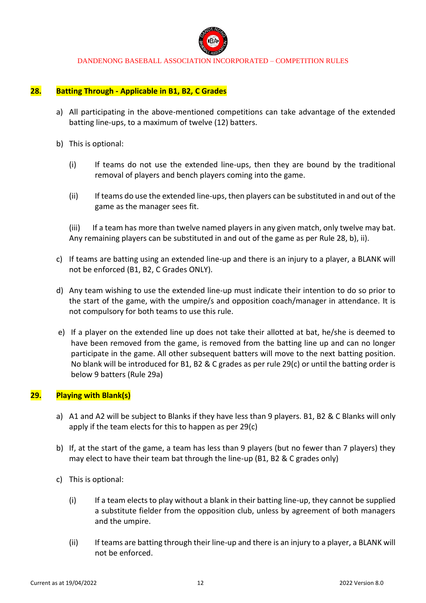

### **28. Batting Through - Applicable in B1, B2, C Grades**

- a) All participating in the above-mentioned competitions can take advantage of the extended batting line-ups, to a maximum of twelve (12) batters.
- b) This is optional:
	- (i) If teams do not use the extended line-ups, then they are bound by the traditional removal of players and bench players coming into the game.
	- (ii) If teams do use the extended line-ups, then players can be substituted in and out of the game as the manager sees fit.

(iii) If a team has more than twelve named players in any given match, only twelve may bat. Any remaining players can be substituted in and out of the game as per Rule 28, b), ii).

- c) If teams are batting using an extended line-up and there is an injury to a player, a BLANK will not be enforced (B1, B2, C Grades ONLY).
- d) Any team wishing to use the extended line-up must indicate their intention to do so prior to the start of the game, with the umpire/s and opposition coach/manager in attendance. It is not compulsory for both teams to use this rule.
- e) If a player on the extended line up does not take their allotted at bat, he/she is deemed to have been removed from the game, is removed from the batting line up and can no longer participate in the game. All other subsequent batters will move to the next batting position. No blank will be introduced for B1, B2 & C grades as per rule 29(c) or until the batting order is below 9 batters (Rule 29a)

### **29. Playing with Blank(s)**

- a) A1 and A2 will be subject to Blanks if they have less than 9 players. B1, B2 & C Blanks will only apply if the team elects for this to happen as per 29(c)
- b) If, at the start of the game, a team has less than 9 players (but no fewer than 7 players) they may elect to have their team bat through the line-up (B1, B2 & C grades only)
- c) This is optional:
	- (i) If a team elects to play without a blank in their batting line-up, they cannot be supplied a substitute fielder from the opposition club, unless by agreement of both managers and the umpire.
	- (ii) If teams are batting through their line-up and there is an injury to a player, a BLANK will not be enforced.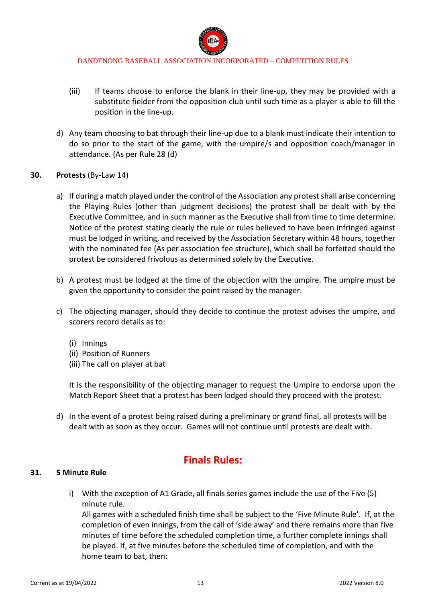

- (iii) If teams choose to enforce the blank in their line-up, they may be provided with a substitute fielder from the opposition club until such time as a player is able to fill the position in the line-up.
- d) Any team choosing to bat through their line-up due to a blank must indicate their intention to do so prior to the start of the game, with the umpire/s and opposition coach/manager in attendance. (As per Rule 28 (d)

### **30. Protests** (By-Law 14)

- a) If during a match played under the control of the Association any protest shall arise concerning the Playing Rules (other than judgment decisions) the protest shall be dealt with by the Executive Committee, and in such manner as the Executive shall from time to time determine. Notice of the protest stating clearly the rule or rules believed to have been infringed against must be lodged in writing, and received by the Association Secretary within 48 hours, together with the nominated fee (As per association fee structure), which shall be forfeited should the protest be considered frivolous as determined solely by the Executive.
- b) A protest must be lodged at the time of the objection with the umpire. The umpire must be given the opportunity to consider the point raised by the manager.
- c) The objecting manager, should they decide to continue the protest advises the umpire, and scorers record details as to:
	- (i) Innings
	- (ii) Position of Runners
	- (iii) The call on player at bat

It is the responsibility of the objecting manager to request the Umpire to endorse upon the Match Report Sheet that a protest has been lodged should they proceed with the protest.

d) In the event of a protest being raised during a preliminary or grand final, all protests will be dealt with as soon as they occur. Games will not continue until protests are dealt with.

# **Finals Rules:**

#### **31. 5 Minute Rule**

i) With the exception of A1 Grade, all finals series games include the use of the Five (5) minute rule.

All games with a scheduled finish time shall be subject to the 'Five Minute Rule'. If, at the completion of even innings, from the call of 'side away' and there remains more than five minutes of time before the scheduled completion time, a further complete innings shall be played. If, at five minutes before the scheduled time of completion, and with the home team to bat, then: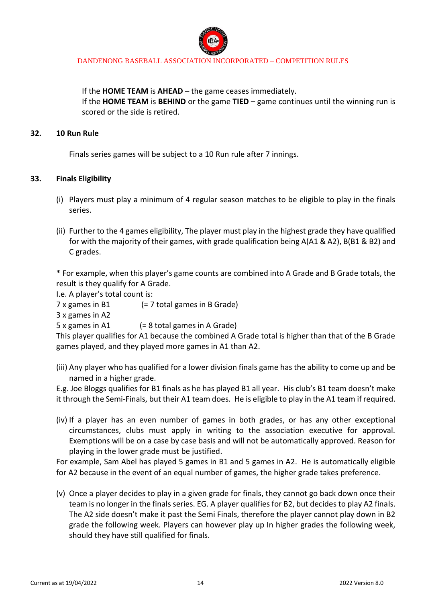

If the **HOME TEAM** is **AHEAD** – the game ceases immediately. If the **HOME TEAM** is **BEHIND** or the game **TIED** – game continues until the winning run is scored or the side is retired.

#### **32. 10 Run Rule**

Finals series games will be subject to a 10 Run rule after 7 innings.

### **33. Finals Eligibility**

- (i) Players must play a minimum of 4 regular season matches to be eligible to play in the finals series.
- (ii) Further to the 4 games eligibility, The player must play in the highest grade they have qualified for with the majority of their games, with grade qualification being A(A1 & A2), B(B1 & B2) and C grades.

\* For example, when this player's game counts are combined into A Grade and B Grade totals, the result is they qualify for A Grade.

I.e. A player's total count is:

7 x games in B1 (= 7 total games in B Grade)

3 x games in A2

5 x games in A1 (= 8 total games in A Grade)

This player qualifies for A1 because the combined A Grade total is higher than that of the B Grade games played, and they played more games in A1 than A2.

(iii) Any player who has qualified for a lower division finals game has the ability to come up and be named in a higher grade.

E.g. Joe Bloggs qualifies for B1 finals as he has played B1 all year. His club's B1 team doesn't make it through the Semi-Finals, but their A1 team does. He is eligible to play in the A1 team if required.

(iv) If a player has an even number of games in both grades, or has any other exceptional circumstances, clubs must apply in writing to the association executive for approval. Exemptions will be on a case by case basis and will not be automatically approved. Reason for playing in the lower grade must be justified.

For example, Sam Abel has played 5 games in B1 and 5 games in A2. He is automatically eligible for A2 because in the event of an equal number of games, the higher grade takes preference.

(v) Once a player decides to play in a given grade for finals, they cannot go back down once their team is no longer in the finals series. EG. A player qualifies for B2, but decides to play A2 finals. The A2 side doesn't make it past the Semi Finals, therefore the player cannot play down in B2 grade the following week. Players can however play up In higher grades the following week, should they have still qualified for finals.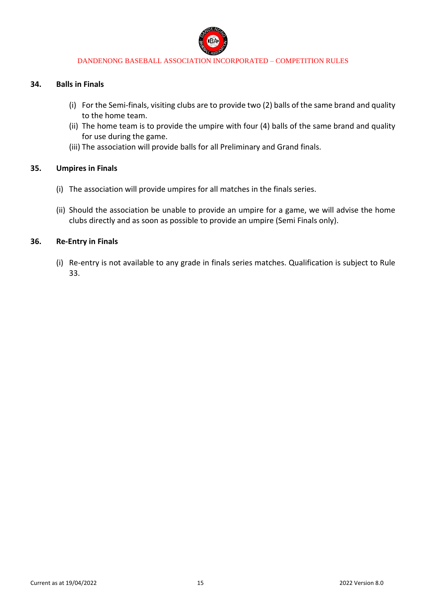

#### **34. Balls in Finals**

- (i) For the Semi-finals, visiting clubs are to provide two (2) balls of the same brand and quality to the home team.
- (ii) The home team is to provide the umpire with four (4) balls of the same brand and quality for use during the game.
- (iii) The association will provide balls for all Preliminary and Grand finals.

### **35. Umpires in Finals**

- (i) The association will provide umpires for all matches in the finals series.
- (ii) Should the association be unable to provide an umpire for a game, we will advise the home clubs directly and as soon as possible to provide an umpire (Semi Finals only).

### **36. Re-Entry in Finals**

(i) Re-entry is not available to any grade in finals series matches. Qualification is subject to Rule 33.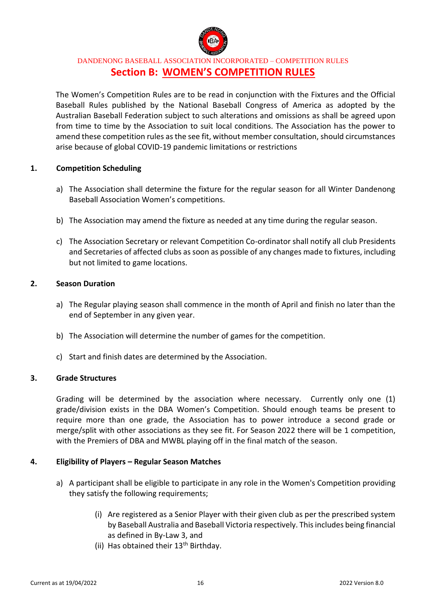

DANDENONG BASEBALL ASSOCIATION INCORPORATED – COMPETITION RULES **Section B: WOMEN'S COMPETITION RULES**

The Women's Competition Rules are to be read in conjunction with the Fixtures and the Official Baseball Rules published by the National Baseball Congress of America as adopted by the Australian Baseball Federation subject to such alterations and omissions as shall be agreed upon from time to time by the Association to suit local conditions. The Association has the power to amend these competition rules as the see fit, without member consultation, should circumstances arise because of global COVID-19 pandemic limitations or restrictions

### **1. Competition Scheduling**

- a) The Association shall determine the fixture for the regular season for all Winter Dandenong Baseball Association Women's competitions.
- b) The Association may amend the fixture as needed at any time during the regular season.
- c) The Association Secretary or relevant Competition Co-ordinator shall notify all club Presidents and Secretaries of affected clubs as soon as possible of any changes made to fixtures, including but not limited to game locations.

### **2. Season Duration**

- a) The Regular playing season shall commence in the month of April and finish no later than the end of September in any given year.
- b) The Association will determine the number of games for the competition.
- c) Start and finish dates are determined by the Association.

### **3. Grade Structures**

Grading will be determined by the association where necessary. Currently only one (1) grade/division exists in the DBA Women's Competition. Should enough teams be present to require more than one grade, the Association has to power introduce a second grade or merge/split with other associations as they see fit. For Season 2022 there will be 1 competition, with the Premiers of DBA and MWBL playing off in the final match of the season.

### **4. Eligibility of Players – Regular Season Matches**

- a) A participant shall be eligible to participate in any role in the Women's Competition providing they satisfy the following requirements;
	- (i) Are registered as a Senior Player with their given club as per the prescribed system by Baseball Australia and Baseball Victoria respectively. This includes being financial as defined in By-Law 3, and
	- (ii) Has obtained their  $13<sup>th</sup>$  Birthday.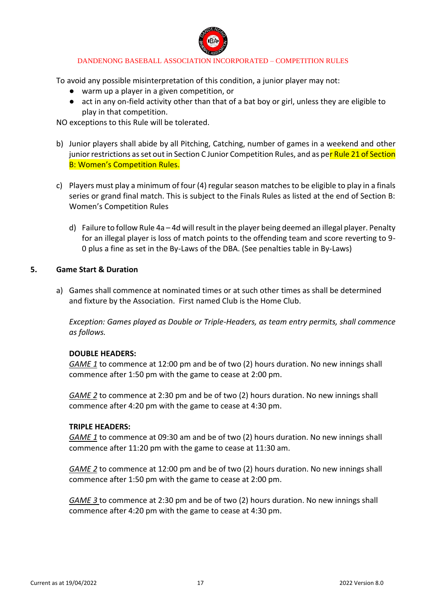

To avoid any possible misinterpretation of this condition, a junior player may not:

- warm up a player in a given competition, or
- act in any on-field activity other than that of a bat boy or girl, unless they are eligible to play in that competition.

NO exceptions to this Rule will be tolerated.

- b) Junior players shall abide by all Pitching, Catching, number of games in a weekend and other junior restrictions as set out in Section C Junior Competition Rules, and as per Rule 21 of Section B: Women's Competition Rules.
- c) Players must play a minimum of four (4) regular season matches to be eligible to play in a finals series or grand final match. This is subject to the Finals Rules as listed at the end of Section B: Women's Competition Rules
	- d) Failure to follow Rule 4a 4d will result in the player being deemed an illegal player. Penalty for an illegal player is loss of match points to the offending team and score reverting to 9- 0 plus a fine as set in the By-Laws of the DBA. (See penalties table in By-Laws)

### **5. Game Start & Duration**

a) Games shall commence at nominated times or at such other times as shall be determined and fixture by the Association. First named Club is the Home Club.

*Exception: Games played as Double or Triple-Headers, as team entry permits, shall commence as follows.* 

### **DOUBLE HEADERS:**

*GAME 1* to commence at 12:00 pm and be of two (2) hours duration. No new innings shall commence after 1:50 pm with the game to cease at 2:00 pm.

*GAME 2* to commence at 2:30 pm and be of two (2) hours duration. No new innings shall commence after 4:20 pm with the game to cease at 4:30 pm.

#### **TRIPLE HEADERS:**

*GAME 1* to commence at 09:30 am and be of two (2) hours duration. No new innings shall commence after 11:20 pm with the game to cease at 11:30 am.

*GAME 2* to commence at 12:00 pm and be of two (2) hours duration. No new innings shall commence after 1:50 pm with the game to cease at 2:00 pm.

*GAME 3* to commence at 2:30 pm and be of two (2) hours duration. No new innings shall commence after 4:20 pm with the game to cease at 4:30 pm.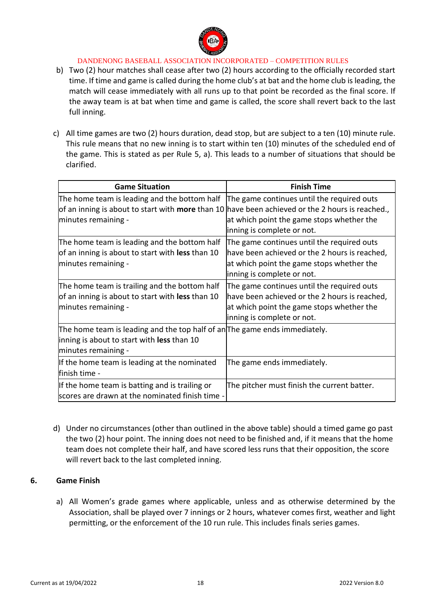

- b) Two (2) hour matches shall cease after two (2) hours according to the officially recorded start time. If time and game is called during the home club's at bat and the home club is leading, the match will cease immediately with all runs up to that point be recorded as the final score. If the away team is at bat when time and game is called, the score shall revert back to the last full inning.
- c) All time games are two (2) hours duration, dead stop, but are subject to a ten (10) minute rule. This rule means that no new inning is to start within ten (10) minutes of the scheduled end of the game. This is stated as per Rule 5, a). This leads to a number of situations that should be clarified.

| <b>Game Situation</b>                                                                                                                                                  | <b>Finish Time</b>                                                                                                                                                     |  |  |
|------------------------------------------------------------------------------------------------------------------------------------------------------------------------|------------------------------------------------------------------------------------------------------------------------------------------------------------------------|--|--|
| The home team is leading and the bottom half<br>of an inning is about to start with more than 10 have been achieved or the 2 hours is reached.,<br>minutes remaining - | The game continues until the required outs<br>at which point the game stops whether the<br>inning is complete or not.                                                  |  |  |
| The home team is leading and the bottom half<br>of an inning is about to start with less than 10<br>minutes remaining -                                                | The game continues until the required outs<br>have been achieved or the 2 hours is reached,<br>at which point the game stops whether the<br>inning is complete or not. |  |  |
| The home team is trailing and the bottom half<br>of an inning is about to start with less than 10<br>minutes remaining -                                               | The game continues until the required outs<br>have been achieved or the 2 hours is reached,<br>at which point the game stops whether the<br>inning is complete or not. |  |  |
| The home team is leading and the top half of an The game ends immediately.<br>inning is about to start with less than 10<br>minutes remaining -                        |                                                                                                                                                                        |  |  |
| If the home team is leading at the nominated<br>finish time -                                                                                                          | The game ends immediately.                                                                                                                                             |  |  |
| If the home team is batting and is trailing or<br>scores are drawn at the nominated finish time -                                                                      | The pitcher must finish the current batter.                                                                                                                            |  |  |

d) Under no circumstances (other than outlined in the above table) should a timed game go past the two (2) hour point. The inning does not need to be finished and, if it means that the home team does not complete their half, and have scored less runs that their opposition, the score will revert back to the last completed inning.

### **6. Game Finish**

a) All Women's grade games where applicable, unless and as otherwise determined by the Association, shall be played over 7 innings or 2 hours, whatever comes first, weather and light permitting, or the enforcement of the 10 run rule. This includes finals series games.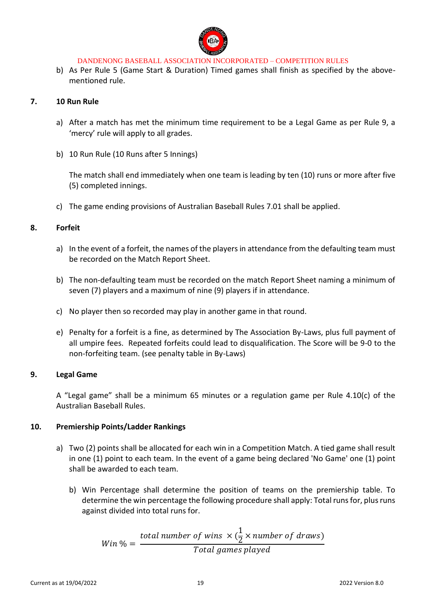

b) As Per Rule 5 (Game Start & Duration) Timed games shall finish as specified by the abovementioned rule.

### **7. 10 Run Rule**

- a) After a match has met the minimum time requirement to be a Legal Game as per Rule 9, a 'mercy' rule will apply to all grades.
- b) 10 Run Rule (10 Runs after 5 Innings)

The match shall end immediately when one team is leading by ten (10) runs or more after five (5) completed innings.

c) The game ending provisions of Australian Baseball Rules 7.01 shall be applied.

### **8. Forfeit**

- a) In the event of a forfeit, the names of the players in attendance from the defaulting team must be recorded on the Match Report Sheet.
- b) The non-defaulting team must be recorded on the match Report Sheet naming a minimum of seven (7) players and a maximum of nine (9) players if in attendance.
- c) No player then so recorded may play in another game in that round.
- e) Penalty for a forfeit is a fine, as determined by The Association By-Laws, plus full payment of all umpire fees. Repeated forfeits could lead to disqualification. The Score will be 9-0 to the non-forfeiting team. (see penalty table in By-Laws)

### **9. Legal Game**

A "Legal game" shall be a minimum 65 minutes or a regulation game per Rule 4.10(c) of the Australian Baseball Rules.

### **10. Premiership Points/Ladder Rankings**

- a) Two (2) points shall be allocated for each win in a Competition Match. A tied game shall result in one (1) point to each team. In the event of a game being declared 'No Game' one (1) point shall be awarded to each team.
	- b) Win Percentage shall determine the position of teams on the premiership table. To determine the win percentage the following procedure shall apply: Total runs for, plus runs against divided into total runs for.

$$
Win\% = \frac{total\ number\ of\ wins\ \times (\frac{1}{2} \times number\ of\ draws)}{Total\ games\ played}
$$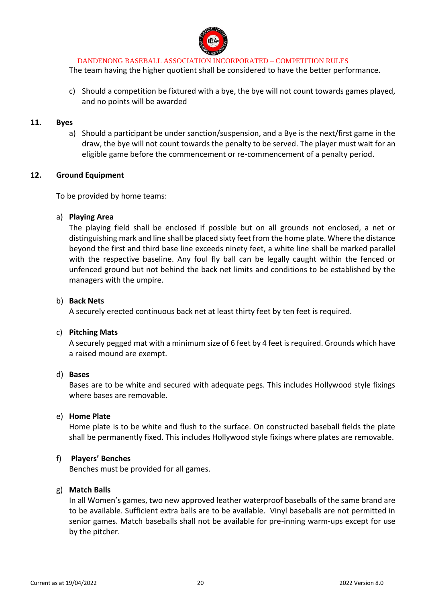

The team having the higher quotient shall be considered to have the better performance.

c) Should a competition be fixtured with a bye, the bye will not count towards games played, and no points will be awarded

#### **11. Byes**

a) Should a participant be under sanction/suspension, and a Bye is the next/first game in the draw, the bye will not count towards the penalty to be served. The player must wait for an eligible game before the commencement or re-commencement of a penalty period.

### **12. Ground Equipment**

To be provided by home teams:

### a) **Playing Area**

The playing field shall be enclosed if possible but on all grounds not enclosed, a net or distinguishing mark and line shall be placed sixty feet from the home plate. Where the distance beyond the first and third base line exceeds ninety feet, a white line shall be marked parallel with the respective baseline. Any foul fly ball can be legally caught within the fenced or unfenced ground but not behind the back net limits and conditions to be established by the managers with the umpire.

### b) **Back Nets**

A securely erected continuous back net at least thirty feet by ten feet is required.

#### c) **Pitching Mats**

A securely pegged mat with a minimum size of 6 feet by 4 feet is required. Grounds which have a raised mound are exempt.

#### d) **Bases**

Bases are to be white and secured with adequate pegs. This includes Hollywood style fixings where bases are removable.

#### e) **Home Plate**

Home plate is to be white and flush to the surface. On constructed baseball fields the plate shall be permanently fixed. This includes Hollywood style fixings where plates are removable.

### f) **Players' Benches**

Benches must be provided for all games.

### g) **Match Balls**

In all Women's games, two new approved leather waterproof baseballs of the same brand are to be available. Sufficient extra balls are to be available. Vinyl baseballs are not permitted in senior games. Match baseballs shall not be available for pre-inning warm-ups except for use by the pitcher.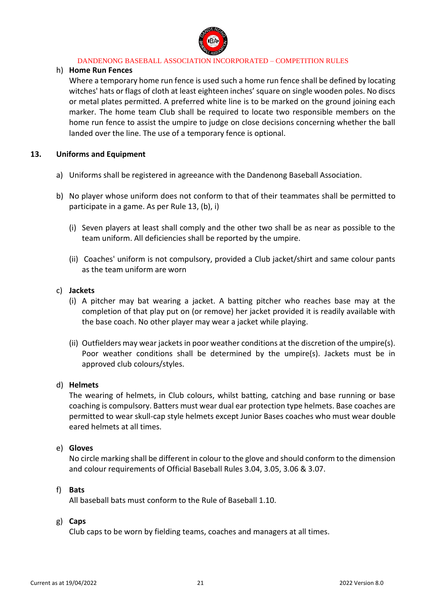

### h) **Home Run Fences**

Where a temporary home run fence is used such a home run fence shall be defined by locating witches' hats or flags of cloth at least eighteen inches' square on single wooden poles. No discs or metal plates permitted. A preferred white line is to be marked on the ground joining each marker. The home team Club shall be required to locate two responsible members on the home run fence to assist the umpire to judge on close decisions concerning whether the ball landed over the line. The use of a temporary fence is optional.

### **13. Uniforms and Equipment**

- a) Uniforms shall be registered in agreeance with the Dandenong Baseball Association.
- b) No player whose uniform does not conform to that of their teammates shall be permitted to participate in a game. As per Rule 13, (b), i)
	- (i) Seven players at least shall comply and the other two shall be as near as possible to the team uniform. All deficiencies shall be reported by the umpire.
	- (ii) Coaches' uniform is not compulsory, provided a Club jacket/shirt and same colour pants as the team uniform are worn

### c) **Jackets**

- (i) A pitcher may bat wearing a jacket. A batting pitcher who reaches base may at the completion of that play put on (or remove) her jacket provided it is readily available with the base coach. No other player may wear a jacket while playing.
- (ii) Outfielders may wear jackets in poor weather conditions at the discretion of the umpire(s). Poor weather conditions shall be determined by the umpire(s). Jackets must be in approved club colours/styles.

#### d) **Helmets**

The wearing of helmets, in Club colours, whilst batting, catching and base running or base coaching is compulsory. Batters must wear dual ear protection type helmets. Base coaches are permitted to wear skull-cap style helmets except Junior Bases coaches who must wear double eared helmets at all times.

#### e) **Gloves**

No circle marking shall be different in colour to the glove and should conform to the dimension and colour requirements of Official Baseball Rules 3.04, 3.05, 3.06 & 3.07.

### f) **Bats**

All baseball bats must conform to the Rule of Baseball 1.10.

### g) **Caps**

Club caps to be worn by fielding teams, coaches and managers at all times.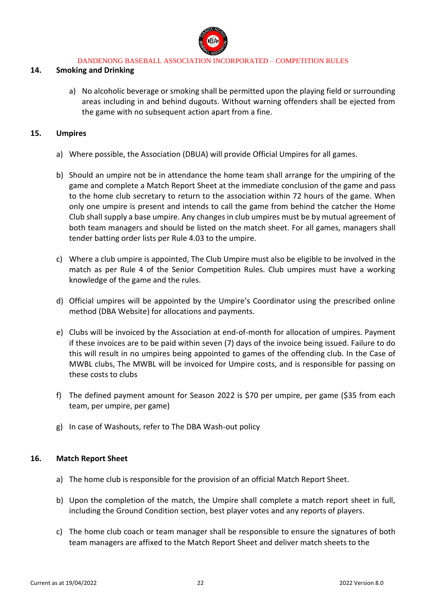

### **14. Smoking and Drinking**

a) No alcoholic beverage or smoking shall be permitted upon the playing field or surrounding areas including in and behind dugouts. Without warning offenders shall be ejected from the game with no subsequent action apart from a fine.

### **15. Umpires**

- a) Where possible, the Association (DBUA) will provide Official Umpires for all games.
- b) Should an umpire not be in attendance the home team shall arrange for the umpiring of the game and complete a Match Report Sheet at the immediate conclusion of the game and pass to the home club secretary to return to the association within 72 hours of the game. When only one umpire is present and intends to call the game from behind the catcher the Home Club shall supply a base umpire. Any changes in club umpires must be by mutual agreement of both team managers and should be listed on the match sheet. For all games, managers shall tender batting order lists per Rule 4.03 to the umpire.
- c) Where a club umpire is appointed, The Club Umpire must also be eligible to be involved in the match as per Rule 4 of the Senior Competition Rules. Club umpires must have a working knowledge of the game and the rules.
- d) Official umpires will be appointed by the Umpire's Coordinator using the prescribed online method (DBA Website) for allocations and payments.
- e) Clubs will be invoiced by the Association at end-of-month for allocation of umpires. Payment if these invoices are to be paid within seven (7) days of the invoice being issued. Failure to do this will result in no umpires being appointed to games of the offending club. In the Case of MWBL clubs, The MWBL will be invoiced for Umpire costs, and is responsible for passing on these costs to clubs
- f) The defined payment amount for Season 2022 is \$70 per umpire, per game (\$35 from each team, per umpire, per game)
- g) In case of Washouts, refer to The DBA Wash-out policy

#### **16. Match Report Sheet**

- a) The home club is responsible for the provision of an official Match Report Sheet.
- b) Upon the completion of the match, the Umpire shall complete a match report sheet in full, including the Ground Condition section, best player votes and any reports of players.
- c) The home club coach or team manager shall be responsible to ensure the signatures of both team managers are affixed to the Match Report Sheet and deliver match sheets to the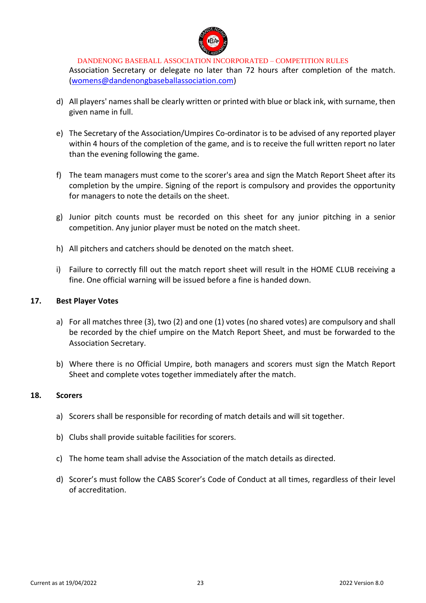

Association Secretary or delegate no later than 72 hours after completion of the match. [\(womens@dandenongbaseballassociation.com\)](mailto:womens@dandenongbaseballassociation.com)

- d) All players' names shall be clearly written or printed with blue or black ink, with surname, then given name in full.
- e) The Secretary of the Association/Umpires Co-ordinator is to be advised of any reported player within 4 hours of the completion of the game, and is to receive the full written report no later than the evening following the game.
- f) The team managers must come to the scorer's area and sign the Match Report Sheet after its completion by the umpire. Signing of the report is compulsory and provides the opportunity for managers to note the details on the sheet.
- g) Junior pitch counts must be recorded on this sheet for any junior pitching in a senior competition. Any junior player must be noted on the match sheet.
- h) All pitchers and catchers should be denoted on the match sheet.
- i) Failure to correctly fill out the match report sheet will result in the HOME CLUB receiving a fine. One official warning will be issued before a fine is handed down.

### **17. Best Player Votes**

- a) For all matches three (3), two (2) and one (1) votes (no shared votes) are compulsory and shall be recorded by the chief umpire on the Match Report Sheet, and must be forwarded to the Association Secretary.
- b) Where there is no Official Umpire, both managers and scorers must sign the Match Report Sheet and complete votes together immediately after the match.

### **18. Scorers**

- a) Scorers shall be responsible for recording of match details and will sit together.
- b) Clubs shall provide suitable facilities for scorers.
- c) The home team shall advise the Association of the match details as directed.
- d) Scorer's must follow the CABS Scorer's Code of Conduct at all times, regardless of their level of accreditation.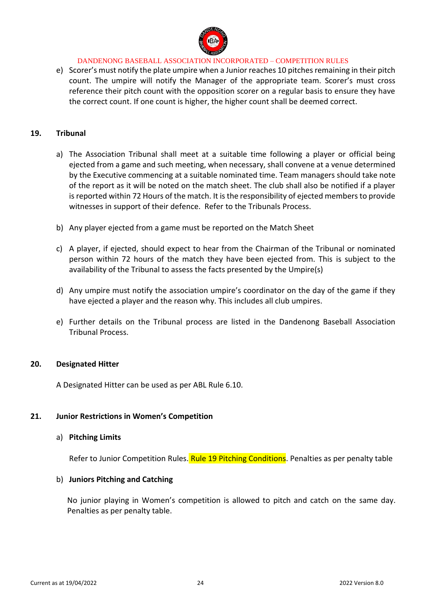

e) Scorer's must notify the plate umpire when a Junior reaches 10 pitches remaining in their pitch count. The umpire will notify the Manager of the appropriate team. Scorer's must cross reference their pitch count with the opposition scorer on a regular basis to ensure they have the correct count. If one count is higher, the higher count shall be deemed correct.

### **19. Tribunal**

- a) The Association Tribunal shall meet at a suitable time following a player or official being ejected from a game and such meeting, when necessary, shall convene at a venue determined by the Executive commencing at a suitable nominated time. Team managers should take note of the report as it will be noted on the match sheet. The club shall also be notified if a player is reported within 72 Hours of the match. It is the responsibility of ejected members to provide witnesses in support of their defence. Refer to the Tribunals Process.
- b) Any player ejected from a game must be reported on the Match Sheet
- c) A player, if ejected, should expect to hear from the Chairman of the Tribunal or nominated person within 72 hours of the match they have been ejected from. This is subject to the availability of the Tribunal to assess the facts presented by the Umpire(s)
- d) Any umpire must notify the association umpire's coordinator on the day of the game if they have ejected a player and the reason why. This includes all club umpires.
- e) Further details on the Tribunal process are listed in the Dandenong Baseball Association Tribunal Process.

#### **20. Designated Hitter**

A Designated Hitter can be used as per ABL Rule 6.10.

#### **21. Junior Restrictions in Women's Competition**

#### a) **Pitching Limits**

Refer to Junior Competition Rules. Rule 19 Pitching Conditions. Penalties as per penalty table

#### b) **Juniors Pitching and Catching**

No junior playing in Women's competition is allowed to pitch and catch on the same day. Penalties as per penalty table.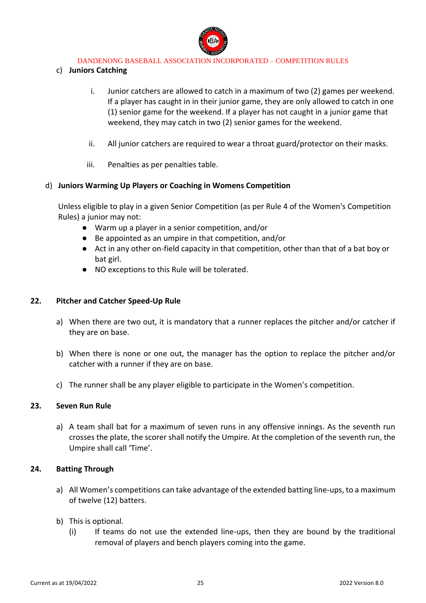

### c) **Juniors Catching**

- i. Junior catchers are allowed to catch in a maximum of two (2) games per weekend. If a player has caught in in their junior game, they are only allowed to catch in one (1) senior game for the weekend. If a player has not caught in a junior game that weekend, they may catch in two (2) senior games for the weekend.
- ii. All junior catchers are required to wear a throat guard/protector on their masks.
- iii. Penalties as per penalties table.

### d) **Juniors Warming Up Players or Coaching in Womens Competition**

Unless eligible to play in a given Senior Competition (as per Rule 4 of the Women's Competition Rules) a junior may not:

- Warm up a player in a senior competition, and/or
- Be appointed as an umpire in that competition, and/or
- Act in any other on-field capacity in that competition, other than that of a bat boy or bat girl.
- NO exceptions to this Rule will be tolerated.

### **22. Pitcher and Catcher Speed-Up Rule**

- a) When there are two out, it is mandatory that a runner replaces the pitcher and/or catcher if they are on base.
- b) When there is none or one out, the manager has the option to replace the pitcher and/or catcher with a runner if they are on base.
- c) The runner shall be any player eligible to participate in the Women's competition.

### **23. Seven Run Rule**

a) A team shall bat for a maximum of seven runs in any offensive innings. As the seventh run crosses the plate, the scorer shall notify the Umpire. At the completion of the seventh run, the Umpire shall call 'Time'.

### **24. Batting Through**

- a) All Women's competitions can take advantage of the extended batting line-ups, to a maximum of twelve (12) batters.
- b) This is optional.
	- (i) If teams do not use the extended line-ups, then they are bound by the traditional removal of players and bench players coming into the game.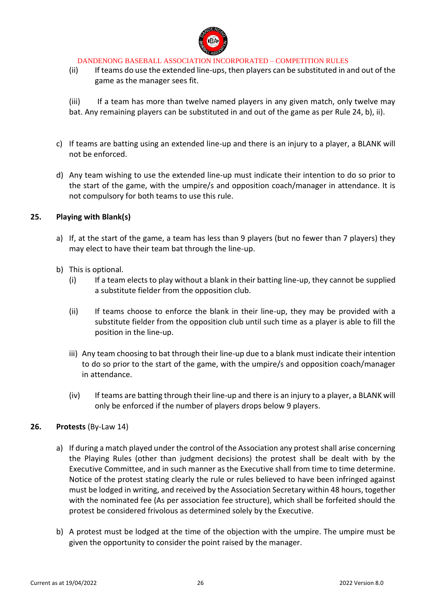

(ii) If teams do use the extended line-ups, then players can be substituted in and out of the game as the manager sees fit.

(iii) If a team has more than twelve named players in any given match, only twelve may bat. Any remaining players can be substituted in and out of the game as per Rule 24, b), ii).

- c) If teams are batting using an extended line-up and there is an injury to a player, a BLANK will not be enforced.
- d) Any team wishing to use the extended line-up must indicate their intention to do so prior to the start of the game, with the umpire/s and opposition coach/manager in attendance. It is not compulsory for both teams to use this rule.

### **25. Playing with Blank(s)**

- a) If, at the start of the game, a team has less than 9 players (but no fewer than 7 players) they may elect to have their team bat through the line-up.
- b) This is optional.
	- (i) If a team elects to play without a blank in their batting line-up, they cannot be supplied a substitute fielder from the opposition club.
	- (ii) If teams choose to enforce the blank in their line-up, they may be provided with a substitute fielder from the opposition club until such time as a player is able to fill the position in the line-up.
	- iii) Any team choosing to bat through their line-up due to a blank must indicate their intention to do so prior to the start of the game, with the umpire/s and opposition coach/manager in attendance.
	- (iv) If teams are batting through their line-up and there is an injury to a player, a BLANK will only be enforced if the number of players drops below 9 players.

#### **26. Protests** (By-Law 14)

- a) If during a match played under the control of the Association any protest shall arise concerning the Playing Rules (other than judgment decisions) the protest shall be dealt with by the Executive Committee, and in such manner as the Executive shall from time to time determine. Notice of the protest stating clearly the rule or rules believed to have been infringed against must be lodged in writing, and received by the Association Secretary within 48 hours, together with the nominated fee (As per association fee structure), which shall be forfeited should the protest be considered frivolous as determined solely by the Executive.
- b) A protest must be lodged at the time of the objection with the umpire. The umpire must be given the opportunity to consider the point raised by the manager.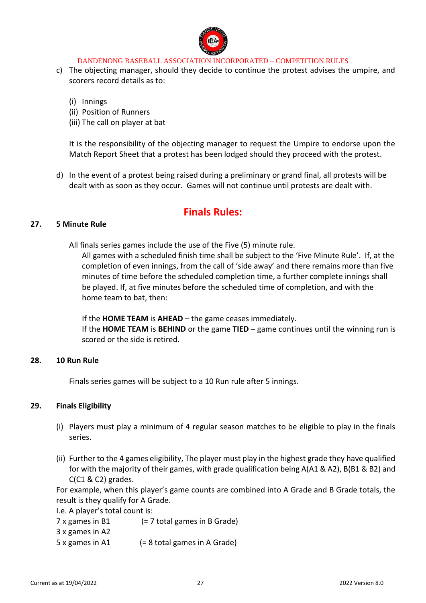

- c) The objecting manager, should they decide to continue the protest advises the umpire, and scorers record details as to:
	- (i) Innings
	- (ii) Position of Runners
	- (iii) The call on player at bat

It is the responsibility of the objecting manager to request the Umpire to endorse upon the Match Report Sheet that a protest has been lodged should they proceed with the protest.

d) In the event of a protest being raised during a preliminary or grand final, all protests will be dealt with as soon as they occur. Games will not continue until protests are dealt with.

# **Finals Rules:**

### **27. 5 Minute Rule**

All finals series games include the use of the Five (5) minute rule.

All games with a scheduled finish time shall be subject to the 'Five Minute Rule'. If, at the completion of even innings, from the call of 'side away' and there remains more than five minutes of time before the scheduled completion time, a further complete innings shall be played. If, at five minutes before the scheduled time of completion, and with the home team to bat, then:

If the **HOME TEAM** is **AHEAD** – the game ceases immediately.

If the **HOME TEAM** is **BEHIND** or the game **TIED** – game continues until the winning run is scored or the side is retired.

### **28. 10 Run Rule**

Finals series games will be subject to a 10 Run rule after 5 innings.

### **29. Finals Eligibility**

- (i) Players must play a minimum of 4 regular season matches to be eligible to play in the finals series.
- (ii) Further to the 4 games eligibility, The player must play in the highest grade they have qualified for with the majority of their games, with grade qualification being A(A1 & A2), B(B1 & B2) and C(C1 & C2) grades.

For example, when this player's game counts are combined into A Grade and B Grade totals, the result is they qualify for A Grade.

I.e. A player's total count is:

7 x games in B1 (= 7 total games in B Grade)

- 3 x games in A2
- 5 x games in A1 (= 8 total games in A Grade)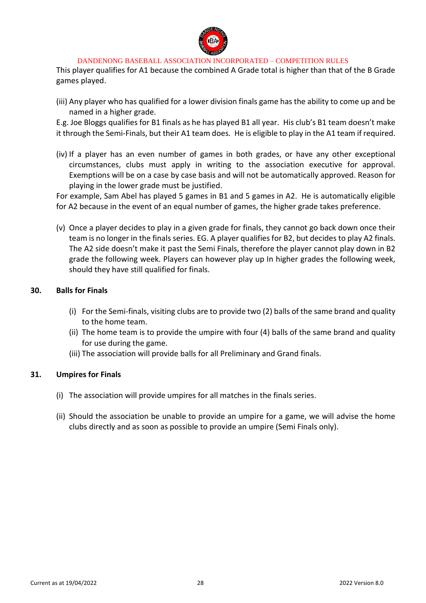

This player qualifies for A1 because the combined A Grade total is higher than that of the B Grade games played.

(iii) Any player who has qualified for a lower division finals game has the ability to come up and be named in a higher grade.

E.g. Joe Bloggs qualifies for B1 finals as he has played B1 all year. His club's B1 team doesn't make it through the Semi-Finals, but their A1 team does. He is eligible to play in the A1 team if required.

(iv) If a player has an even number of games in both grades, or have any other exceptional circumstances, clubs must apply in writing to the association executive for approval. Exemptions will be on a case by case basis and will not be automatically approved. Reason for playing in the lower grade must be justified.

For example, Sam Abel has played 5 games in B1 and 5 games in A2. He is automatically eligible for A2 because in the event of an equal number of games, the higher grade takes preference.

(v) Once a player decides to play in a given grade for finals, they cannot go back down once their team is no longer in the finals series. EG. A player qualifies for B2, but decides to play A2 finals. The A2 side doesn't make it past the Semi Finals, therefore the player cannot play down in B2 grade the following week. Players can however play up In higher grades the following week, should they have still qualified for finals.

### **30. Balls for Finals**

- (i) For the Semi-finals, visiting clubs are to provide two (2) balls of the same brand and quality to the home team.
- (ii) The home team is to provide the umpire with four (4) balls of the same brand and quality for use during the game.
- (iii) The association will provide balls for all Preliminary and Grand finals.

### **31. Umpires for Finals**

- (i) The association will provide umpires for all matches in the finals series.
- (ii) Should the association be unable to provide an umpire for a game, we will advise the home clubs directly and as soon as possible to provide an umpire (Semi Finals only).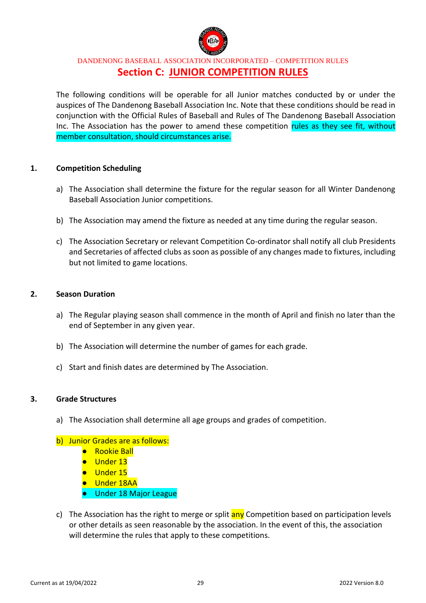

## DANDENONG BASEBALL ASSOCIATION INCORPORATED – COMPETITION RULES **Section C: JUNIOR COMPETITION RULES**

The following conditions will be operable for all Junior matches conducted by or under the auspices of The Dandenong Baseball Association Inc. Note that these conditions should be read in conjunction with the Official Rules of Baseball and Rules of The Dandenong Baseball Association Inc. The Association has the power to amend these competition rules as they see fit, without member consultation, should circumstances arise.

### **1. Competition Scheduling**

- a) The Association shall determine the fixture for the regular season for all Winter Dandenong Baseball Association Junior competitions.
- b) The Association may amend the fixture as needed at any time during the regular season.
- c) The Association Secretary or relevant Competition Co-ordinator shall notify all club Presidents and Secretaries of affected clubs as soon as possible of any changes made to fixtures, including but not limited to game locations.

### **2. Season Duration**

- a) The Regular playing season shall commence in the month of April and finish no later than the end of September in any given year.
- b) The Association will determine the number of games for each grade.
- c) Start and finish dates are determined by The Association.

#### **3. Grade Structures**

- a) The Association shall determine all age groups and grades of competition.
- b) Junior Grades are as follows:
	- Rookie Ball
	- Under 13
	- Under 15
	- Under 18AA
	- Under 18 Major League
- c) The Association has the right to merge or split any Competition based on participation levels or other details as seen reasonable by the association. In the event of this, the association will determine the rules that apply to these competitions.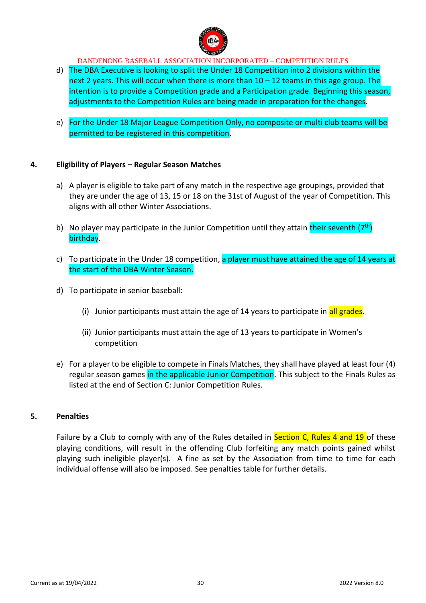

- d) The DBA Executive is looking to split the Under 18 Competition into 2 divisions within the next 2 years. This will occur when there is more than  $10 - 12$  teams in this age group. The intention is to provide a Competition grade and a Participation grade. Beginning this season, adjustments to the Competition Rules are being made in preparation for the changes.
- e) For the Under 18 Major League Competition Only, no composite or multi club teams will be permitted to be registered in this competition.

### **4. Eligibility of Players – Regular Season Matches**

- a) A player is eligible to take part of any match in the respective age groupings, provided that they are under the age of 13, 15 or 18 on the 31st of August of the year of Competition. This aligns with all other Winter Associations.
- b) No player may participate in the Junior Competition until they attain their seventh  $(7<sup>th</sup>)$ birthday.
- c) To participate in the Under 18 competition, a player must have attained the age of 14 years at the start of the DBA Winter Season.
- d) To participate in senior baseball:
	- (i) Junior participants must attain the age of 14 years to participate in all grades.
	- (ii) Junior participants must attain the age of 13 years to participate in Women's competition
- e) For a player to be eligible to compete in Finals Matches, they shall have played at least four (4) regular season games in the applicable Junior Competition. This subject to the Finals Rules as listed at the end of Section C: Junior Competition Rules.

### **5. Penalties**

Failure by a Club to comply with any of the Rules detailed in Section C, Rules 4 and 19 of these playing conditions, will result in the offending Club forfeiting any match points gained whilst playing such ineligible player(s). A fine as set by the Association from time to time for each individual offense will also be imposed. See penalties table for further details.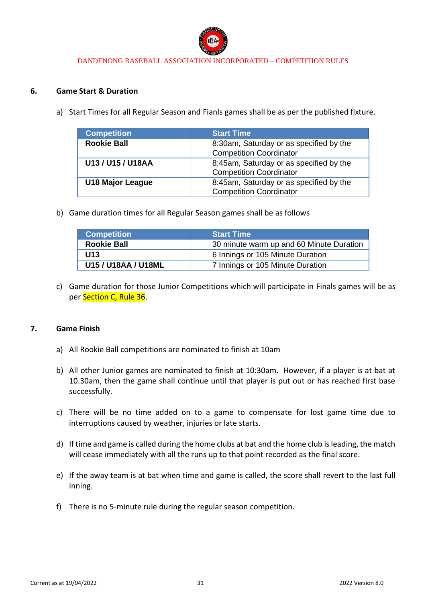

### **6. Game Start & Duration**

a) Start Times for all Regular Season and Fianls games shall be as per the published fixture.

| <b>Competition</b>      | <b>Start Time</b>                                                         |
|-------------------------|---------------------------------------------------------------------------|
| <b>Rookie Ball</b>      | 8:30am, Saturday or as specified by the<br><b>Competition Coordinator</b> |
| U13 / U15 / U18AA       | 8:45am, Saturday or as specified by the<br><b>Competition Coordinator</b> |
| <b>U18 Major League</b> | 8:45am, Saturday or as specified by the<br><b>Competition Coordinator</b> |

b) Game duration times for all Regular Season games shall be as follows

| <b>Competition</b>  | <b>Start Time</b>                        |
|---------------------|------------------------------------------|
| <b>Rookie Ball</b>  | 30 minute warm up and 60 Minute Duration |
| U13                 | 6 Innings or 105 Minute Duration         |
| U15 / U18AA / U18ML | 7 Innings or 105 Minute Duration         |

c) Game duration for those Junior Competitions which will participate in Finals games will be as per Section C, Rule 36.

### **7. Game Finish**

- a) All Rookie Ball competitions are nominated to finish at 10am
- b) All other Junior games are nominated to finish at 10:30am. However, if a player is at bat at 10.30am, then the game shall continue until that player is put out or has reached first base successfully.
- c) There will be no time added on to a game to compensate for lost game time due to interruptions caused by weather, injuries or late starts.
- d) If time and game is called during the home clubs at bat and the home club is leading, the match will cease immediately with all the runs up to that point recorded as the final score.
- e) If the away team is at bat when time and game is called, the score shall revert to the last full inning.
- f) There is no 5-minute rule during the regular season competition.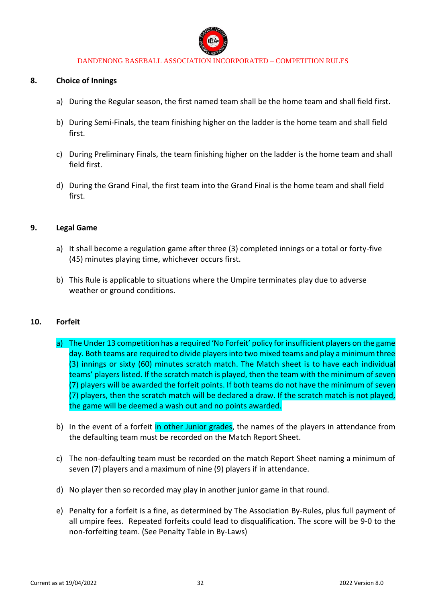

#### **8. Choice of Innings**

- a) During the Regular season, the first named team shall be the home team and shall field first.
- b) During Semi-Finals, the team finishing higher on the ladder is the home team and shall field first.
- c) During Preliminary Finals, the team finishing higher on the ladder is the home team and shall field first.
- d) During the Grand Final, the first team into the Grand Final is the home team and shall field first.

### **9. Legal Game**

- a) It shall become a regulation game after three (3) completed innings or a total or forty-five (45) minutes playing time, whichever occurs first.
- b) This Rule is applicable to situations where the Umpire terminates play due to adverse weather or ground conditions.

### **10. Forfeit**

- a) The Under 13 competition has a required 'No Forfeit' policy for insufficient players on the game day. Both teams are required to divide players into two mixed teams and play a minimum three (3) innings or sixty (60) minutes scratch match. The Match sheet is to have each individual teams' players listed. If the scratch match is played, then the team with the minimum of seven (7) players will be awarded the forfeit points. If both teams do not have the minimum of seven (7) players, then the scratch match will be declared a draw. If the scratch match is not played, the game will be deemed a wash out and no points awarded.
- b) In the event of a forfeit in other Junior grades, the names of the players in attendance from the defaulting team must be recorded on the Match Report Sheet.
- c) The non-defaulting team must be recorded on the match Report Sheet naming a minimum of seven (7) players and a maximum of nine (9) players if in attendance.
- d) No player then so recorded may play in another junior game in that round.
- e) Penalty for a forfeit is a fine, as determined by The Association By-Rules, plus full payment of all umpire fees. Repeated forfeits could lead to disqualification. The score will be 9-0 to the non-forfeiting team. (See Penalty Table in By-Laws)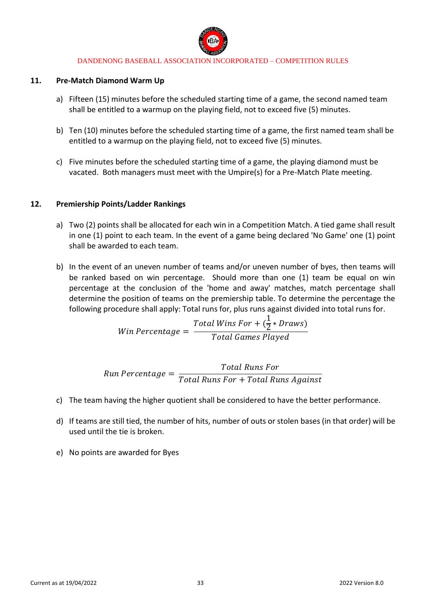

#### **11. Pre-Match Diamond Warm Up**

- a) Fifteen (15) minutes before the scheduled starting time of a game, the second named team shall be entitled to a warmup on the playing field, not to exceed five (5) minutes.
- b) Ten (10) minutes before the scheduled starting time of a game, the first named team shall be entitled to a warmup on the playing field, not to exceed five (5) minutes.
- c) Five minutes before the scheduled starting time of a game, the playing diamond must be vacated. Both managers must meet with the Umpire(s) for a Pre-Match Plate meeting.

### **12. Premiership Points/Ladder Rankings**

- a) Two (2) points shall be allocated for each win in a Competition Match. A tied game shall result in one (1) point to each team. In the event of a game being declared 'No Game' one (1) point shall be awarded to each team.
- b) In the event of an uneven number of teams and/or uneven number of byes, then teams will be ranked based on win percentage. Should more than one (1) team be equal on win percentage at the conclusion of the 'home and away' matches, match percentage shall determine the position of teams on the premiership table. To determine the percentage the following procedure shall apply: Total runs for, plus runs against divided into total runs for.

$$
Win\,Percentage = \frac{Total\,Wins\,For + (\frac{1}{2} * Draws)}{Total\, Games\,Player}
$$

*Run Percentage =* 
$$
\frac{Total \, Runs \, For}{Total \, Runs \, For + Total \, Runs \, Against}
$$

- c) The team having the higher quotient shall be considered to have the better performance.
- d) If teams are still tied, the number of hits, number of outs or stolen bases (in that order) will be used until the tie is broken.
- e) No points are awarded for Byes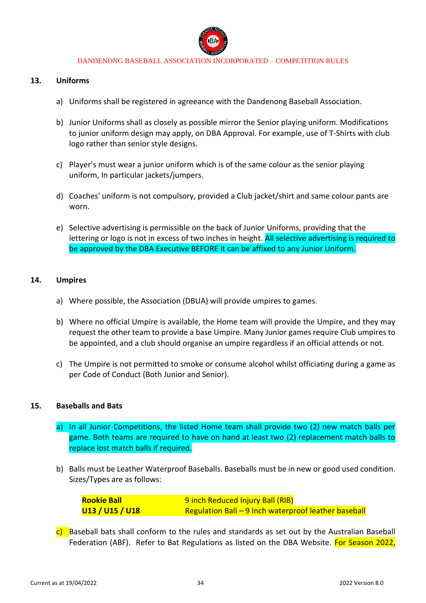

#### **13. Uniforms**

- a) Uniforms shall be registered in agreeance with the Dandenong Baseball Association.
- b) Junior Uniforms shall as closely as possible mirror the Senior playing uniform. Modifications to junior uniform design may apply, on DBA Approval. For example, use of T-Shirts with club logo rather than senior style designs.
- c) Player's must wear a junior uniform which is of the same colour as the senior playing uniform, In particular jackets/jumpers.
- d) Coaches' uniform is not compulsory, provided a Club jacket/shirt and same colour pants are worn.
- e) Selective advertising is permissible on the back of Junior Uniforms, providing that the lettering or logo is not in excess of two inches in height. All selective advertising is required to be approved by the DBA Executive BEFORE it can be affixed to any Junior Uniform.

#### **14. Umpires**

- a) Where possible, the Association (DBUA) will provide umpires to games.
- b) Where no official Umpire is available, the Home team will provide the Umpire, and they may request the other team to provide a base Umpire. Many Junior games require Club umpires to be appointed, and a club should organise an umpire regardless if an official attends or not.
- c) The Umpire is not permitted to smoke or consume alcohol whilst officiating during a game as per Code of Conduct (Both Junior and Senior).

#### **15. Baseballs and Bats**

- a) In all Junior Competitions, the listed Home team shall provide two (2) new match balls per game. Both teams are required to have on hand at least two (2) replacement match balls to replace lost match balls if required.
- b) Balls must be Leather Waterproof Baseballs. Baseballs must be in new or good used condition. Sizes/Types are as follows:

| <b>Rookie Ball</b> | 9 inch Reduced Injury Ball (RIB)                     |
|--------------------|------------------------------------------------------|
| U13 / U15 / U18    | Regulation Ball – 9 Inch waterproof leather baseball |

c) Baseball bats shall conform to the rules and standards as set out by the Australian Baseball Federation (ABF). Refer to Bat Regulations as listed on the DBA Website. For Season 2022,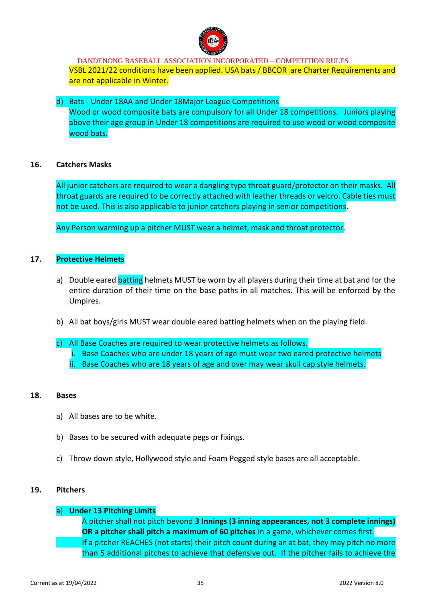

DANDENONG BASEBALL ASSOCIATION INCORPORATED – COMPETITION RULES VSBL 2021/22 conditions have been applied. USA bats / BBCOR are Charter Requirements and are not applicable in Winter.

d) Bats - Under 18AA and Under 18Major League Competitions Wood or wood composite bats are compulsory for all Under 18 competitions. Juniors playing above their age group in Under 18 competitions are required to use wood or wood composite wood bats.

### **16. Catchers Masks**

All junior catchers are required to wear a dangling type throat guard/protector on their masks. All throat guards are required to be correctly attached with leather threads or velcro. Cable ties must not be used. This is also applicable to junior catchers playing in senior competitions.

Any Person warming up a pitcher MUST wear a helmet, mask and throat protector.

### **17. Protective Helmets**

- a) Double eared batting helmets MUST be worn by all players during their time at bat and for the entire duration of their time on the base paths in all matches. This will be enforced by the Umpires.
- b) All bat boys/girls MUST wear double eared batting helmets when on the playing field.
- c) All Base Coaches are required to wear protective helmets as follows.
	- i. Base Coaches who are under 18 years of age must wear two eared protective helmets
	- ii. Base Coaches who are 18 years of age and over may wear skull cap style helmets.

#### **18. Bases**

- a) All bases are to be white.
- b) Bases to be secured with adequate pegs or fixings.
- c) Throw down style, Hollywood style and Foam Pegged style bases are all acceptable.

#### **19. Pitchers**

### a) **Under 13 Pitching Limits**

A pitcher shall not pitch beyond **3 Innings (3 inning appearances, not 3 complete innings) OR a pitcher shall pitch a maximum of 60 pitches** in a game, whichever comes first. If a pitcher REACHES (not starts) their pitch count during an at bat, they may pitch no more than 5 additional pitches to achieve that defensive out. If the pitcher fails to achieve the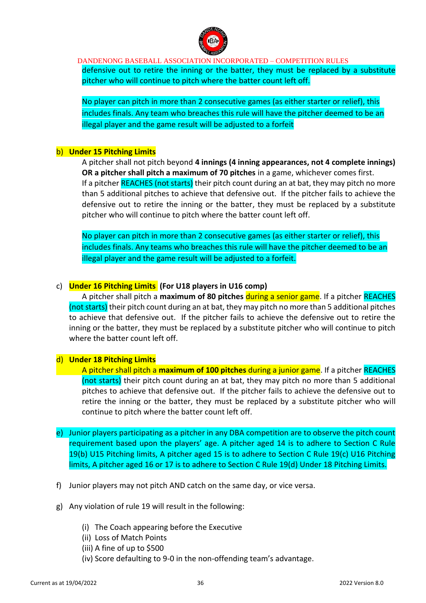

defensive out to retire the inning or the batter, they must be replaced by a substitute pitcher who will continue to pitch where the batter count left off.

No player can pitch in more than 2 consecutive games (as either starter or relief), this includes finals. Any team who breaches this rule will have the pitcher deemed to be an illegal player and the game result will be adjusted to a forfeit

#### b) **Under 15 Pitching Limits**

A pitcher shall not pitch beyond **4 innings (4 inning appearances, not 4 complete innings) OR a pitcher shall pitch a maximum of 70 pitches** in a game, whichever comes first. If a pitcher REACHES (not starts) their pitch count during an at bat, they may pitch no more than 5 additional pitches to achieve that defensive out. If the pitcher fails to achieve the defensive out to retire the inning or the batter, they must be replaced by a substitute pitcher who will continue to pitch where the batter count left off.

No player can pitch in more than 2 consecutive games (as either starter or relief), this includes finals. Any teams who breaches this rule will have the pitcher deemed to be an illegal player and the game result will be adjusted to a forfeit.

### c) **Under 16 Pitching Limits (For U18 players in U16 comp)**

A pitcher shall pitch a **maximum of 80 pitches** during a senior game. If a pitcher REACHES (not starts) their pitch count during an at bat, they may pitch no more than 5 additional pitches to achieve that defensive out. If the pitcher fails to achieve the defensive out to retire the inning or the batter, they must be replaced by a substitute pitcher who will continue to pitch where the batter count left off.

### d) **Under 18 Pitching Limits**

A pitcher shall pitch a **maximum of 100 pitches** during a junior game. If a pitcher REACHES (not starts) their pitch count during an at bat, they may pitch no more than 5 additional pitches to achieve that defensive out. If the pitcher fails to achieve the defensive out to retire the inning or the batter, they must be replaced by a substitute pitcher who will continue to pitch where the batter count left off.

- e) Junior players participating as a pitcher in any DBA competition are to observe the pitch count requirement based upon the players' age. A pitcher aged 14 is to adhere to Section C Rule 19(b) U15 Pitching limits, A pitcher aged 15 is to adhere to Section C Rule 19(c) U16 Pitching limits, A pitcher aged 16 or 17 is to adhere to Section C Rule 19(d) Under 18 Pitching Limits.
- f) Junior players may not pitch AND catch on the same day, or vice versa.
- g) Any violation of rule 19 will result in the following:
	- (i) The Coach appearing before the Executive
	- (ii) Loss of Match Points
	- (iii) A fine of up to \$500
	- (iv) Score defaulting to 9-0 in the non-offending team's advantage.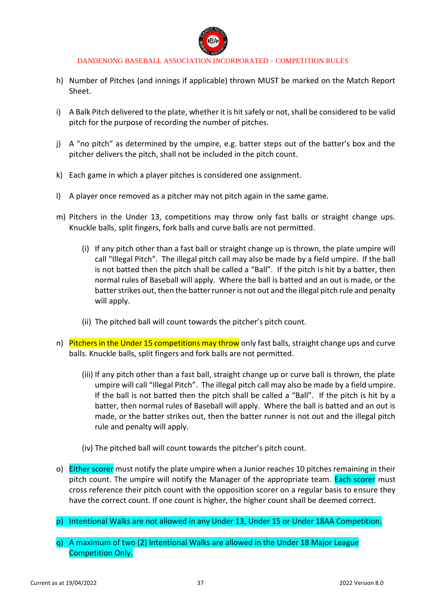

- h) Number of Pitches (and innings if applicable) thrown MUST be marked on the Match Report Sheet.
- i) A Balk Pitch delivered to the plate, whether it is hit safely or not, shall be considered to be valid pitch for the purpose of recording the number of pitches.
- j) A "no pitch" as determined by the umpire, e.g. batter steps out of the batter's box and the pitcher delivers the pitch, shall not be included in the pitch count.
- k) Each game in which a player pitches is considered one assignment.
- l) A player once removed as a pitcher may not pitch again in the same game.
- m) Pitchers in the Under 13, competitions may throw only fast balls or straight change ups. Knuckle balls, split fingers, fork balls and curve balls are not permitted.
	- (i) If any pitch other than a fast ball or straight change up is thrown, the plate umpire will call "Illegal Pitch". The illegal pitch call may also be made by a field umpire. If the ball is not batted then the pitch shall be called a "Ball". If the pitch is hit by a batter, then normal rules of Baseball will apply. Where the ball is batted and an out is made, or the batter strikes out, then the batter runner is not out and the illegal pitch rule and penalty will apply.
	- (ii) The pitched ball will count towards the pitcher's pitch count.
- n) Pitchers in the Under 15 competitions may throw only fast balls, straight change ups and curve balls. Knuckle balls, split fingers and fork balls are not permitted.
	- (iii) If any pitch other than a fast ball, straight change up or curve ball is thrown, the plate umpire will call "Illegal Pitch". The illegal pitch call may also be made by a field umpire. If the ball is not batted then the pitch shall be called a "Ball". If the pitch is hit by a batter, then normal rules of Baseball will apply. Where the ball is batted and an out is made, or the batter strikes out, then the batter runner is not out and the illegal pitch rule and penalty will apply.
	- (iv) The pitched ball will count towards the pitcher's pitch count.
- o) Either scorer must notify the plate umpire when a Junior reaches 10 pitches remaining in their pitch count. The umpire will notify the Manager of the appropriate team. Each scorer must cross reference their pitch count with the opposition scorer on a regular basis to ensure they have the correct count. If one count is higher, the higher count shall be deemed correct.
- p) Intentional Walks are not allowed in any Under 13, Under 15 or Under 18AA Competition.
- q) A maximum of two (2) Intentional Walks are allowed in the Under 18 Major League Competition Only.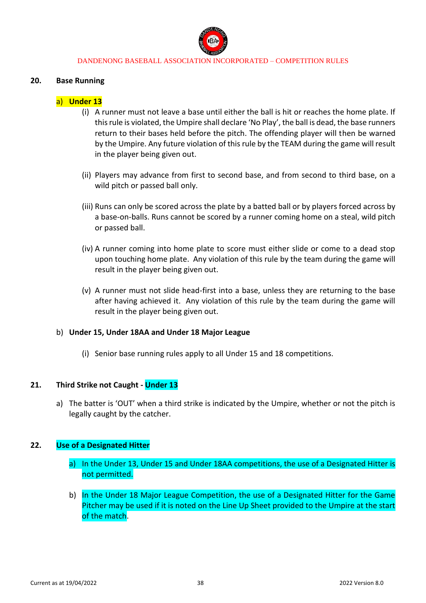

#### **20. Base Running**

### a) **Under 13**

- (i) A runner must not leave a base until either the ball is hit or reaches the home plate. If this rule is violated, the Umpire shall declare 'No Play', the ball is dead, the base runners return to their bases held before the pitch. The offending player will then be warned by the Umpire. Any future violation of this rule by the TEAM during the game will result in the player being given out.
- (ii) Players may advance from first to second base, and from second to third base, on a wild pitch or passed ball only.
- (iii) Runs can only be scored across the plate by a batted ball or by players forced across by a base-on-balls. Runs cannot be scored by a runner coming home on a steal, wild pitch or passed ball.
- (iv) A runner coming into home plate to score must either slide or come to a dead stop upon touching home plate. Any violation of this rule by the team during the game will result in the player being given out.
- (v) A runner must not slide head-first into a base, unless they are returning to the base after having achieved it. Any violation of this rule by the team during the game will result in the player being given out.

#### b) **Under 15, Under 18AA and Under 18 Major League**

(i) Senior base running rules apply to all Under 15 and 18 competitions.

#### **21. Third Strike not Caught - Under 13**

a) The batter is 'OUT' when a third strike is indicated by the Umpire, whether or not the pitch is legally caught by the catcher.

#### **22. Use of a Designated Hitter**

- a) In the Under 13, Under 15 and Under 18AA competitions, the use of a Designated Hitter is not permitted.
- b) In the Under 18 Major League Competition, the use of a Designated Hitter for the Game Pitcher may be used if it is noted on the Line Up Sheet provided to the Umpire at the start of the match.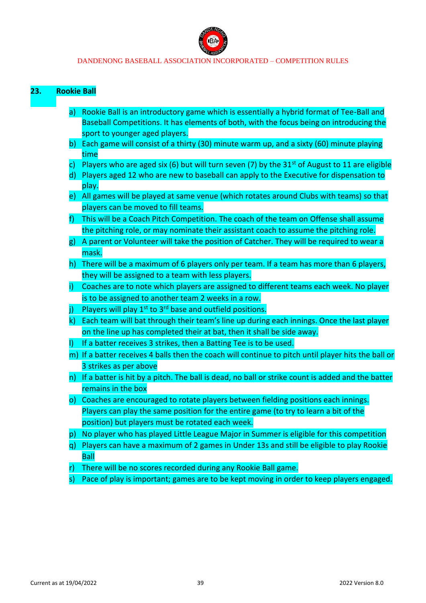

### **23. Rookie Ball**

- a) Rookie Ball is an introductory game which is essentially a hybrid format of Tee-Ball and Baseball Competitions. It has elements of both, with the focus being on introducing the sport to younger aged players.
- b) Each game will consist of a thirty (30) minute warm up, and a sixty (60) minute playing time
- c) Players who are aged six (6) but will turn seven (7) by the 31<sup>st</sup> of August to 11 are eligible
- d) Players aged 12 who are new to baseball can apply to the Executive for dispensation to play.
- e) All games will be played at same venue (which rotates around Clubs with teams) so that players can be moved to fill teams.
- f) This will be a Coach Pitch Competition. The coach of the team on Offense shall assume the pitching role, or may nominate their assistant coach to assume the pitching role.
- g) A parent or Volunteer will take the position of Catcher. They will be required to wear a mask.
- h) There will be a maximum of 6 players only per team. If a team has more than 6 players, they will be assigned to a team with less players.
- i) Coaches are to note which players are assigned to different teams each week. No player is to be assigned to another team 2 weeks in a row.
- Players will play  $1^{st}$  to  $3^{rd}$  base and outfield positions.
- k) Each team will bat through their team's line up during each innings. Once the last player on the line up has completed their at bat, then it shall be side away.
- l) If a batter receives 3 strikes, then a Batting Tee is to be used.
- m) If a batter receives 4 balls then the coach will continue to pitch until player hits the ball or 3 strikes as per above
- n) If a batter is hit by a pitch. The ball is dead, no ball or strike count is added and the batter remains in the box
- o) Coaches are encouraged to rotate players between fielding positions each innings. Players can play the same position for the entire game (to try to learn a bit of the position) but players must be rotated each week.
- p) No player who has played Little League Major in Summer is eligible for this competition
- q) Players can have a maximum of 2 games in Under 13s and still be eligible to play Rookie Ball
- r) There will be no scores recorded during any Rookie Ball game.
- s) Pace of play is important; games are to be kept moving in order to keep players engaged.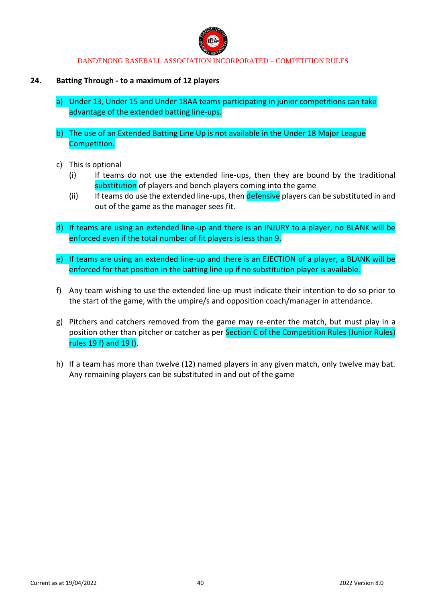

### **24. Batting Through - to a maximum of 12 players**

- a) Under 13, Under 15 and Under 18AA teams participating in junior competitions can take advantage of the extended batting line-ups.
- b) The use of an Extended Batting Line Up is not available in the Under 18 Major League Competition.
- c) This is optional
	- (i) If teams do not use the extended line-ups, then they are bound by the traditional substitution of players and bench players coming into the game
	- (ii) If teams do use the extended line-ups, then defensive players can be substituted in and out of the game as the manager sees fit.
- d) If teams are using an extended line-up and there is an INJURY to a player, no BLANK will be enforced even if the total number of fit players is less than 9.
- e) If teams are using an extended line-up and there is an EJECTION of a player, a BLANK will be enforced for that position in the batting line up if no substitution player is available.
- f) Any team wishing to use the extended line-up must indicate their intention to do so prior to the start of the game, with the umpire/s and opposition coach/manager in attendance.
- g) Pitchers and catchers removed from the game may re-enter the match, but must play in a position other than pitcher or catcher as per Section C of the Competition Rules (Junior Rules) rules 19 f) and 19 l).
- h) If a team has more than twelve (12) named players in any given match, only twelve may bat. Any remaining players can be substituted in and out of the game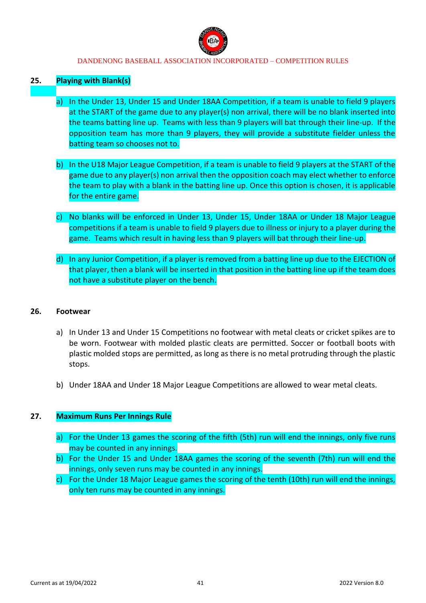

### **25. Playing with Blank(s)**

- a) In the Under 13, Under 15 and Under 18AA Competition, if a team is unable to field 9 players at the START of the game due to any player(s) non arrival, there will be no blank inserted into the teams batting line up. Teams with less than 9 players will bat through their line-up. If the opposition team has more than 9 players, they will provide a substitute fielder unless the batting team so chooses not to.
- b) In the U18 Major League Competition, if a team is unable to field 9 players at the START of the game due to any player(s) non arrival then the opposition coach may elect whether to enforce the team to play with a blank in the batting line up. Once this option is chosen, it is applicable for the entire game.
- c) No blanks will be enforced in Under 13, Under 15, Under 18AA or Under 18 Major League competitions if a team is unable to field 9 players due to illness or injury to a player during the game. Teams which result in having less than 9 players will bat through their line-up.
- d) In any Junior Competition, if a player is removed from a batting line up due to the EJECTION of that player, then a blank will be inserted in that position in the batting line up if the team does not have a substitute player on the bench.

#### **26. Footwear**

- a) In Under 13 and Under 15 Competitions no footwear with metal cleats or cricket spikes are to be worn. Footwear with molded plastic cleats are permitted. Soccer or football boots with plastic molded stops are permitted, as long as there is no metal protruding through the plastic stops.
- b) Under 18AA and Under 18 Major League Competitions are allowed to wear metal cleats.

### **27. Maximum Runs Per Innings Rule**

- a) For the Under 13 games the scoring of the fifth (5th) run will end the innings, only five runs may be counted in any innings.
- b) For the Under 15 and Under 18AA games the scoring of the seventh (7th) run will end the innings, only seven runs may be counted in any innings.
- c) For the Under 18 Major League games the scoring of the tenth (10th) run will end the innings, only ten runs may be counted in any innings.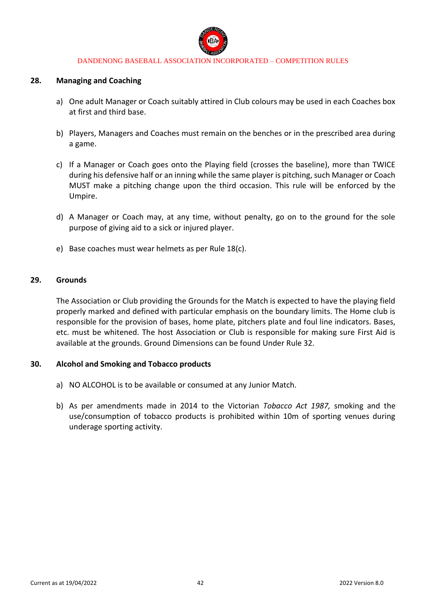

#### **28. Managing and Coaching**

- a) One adult Manager or Coach suitably attired in Club colours may be used in each Coaches box at first and third base.
- b) Players, Managers and Coaches must remain on the benches or in the prescribed area during a game.
- c) If a Manager or Coach goes onto the Playing field (crosses the baseline), more than TWICE during his defensive half or an inning while the same player is pitching, such Manager or Coach MUST make a pitching change upon the third occasion. This rule will be enforced by the Umpire.
- d) A Manager or Coach may, at any time, without penalty, go on to the ground for the sole purpose of giving aid to a sick or injured player.
- e) Base coaches must wear helmets as per Rule 18(c).

### **29. Grounds**

The Association or Club providing the Grounds for the Match is expected to have the playing field properly marked and defined with particular emphasis on the boundary limits. The Home club is responsible for the provision of bases, home plate, pitchers plate and foul line indicators. Bases, etc. must be whitened. The host Association or Club is responsible for making sure First Aid is available at the grounds. Ground Dimensions can be found Under Rule 32.

### **30. Alcohol and Smoking and Tobacco products**

- a) NO ALCOHOL is to be available or consumed at any Junior Match.
- b) As per amendments made in 2014 to the Victorian *Tobacco Act 1987,* smoking and the use/consumption of tobacco products is prohibited within 10m of sporting venues during underage sporting activity.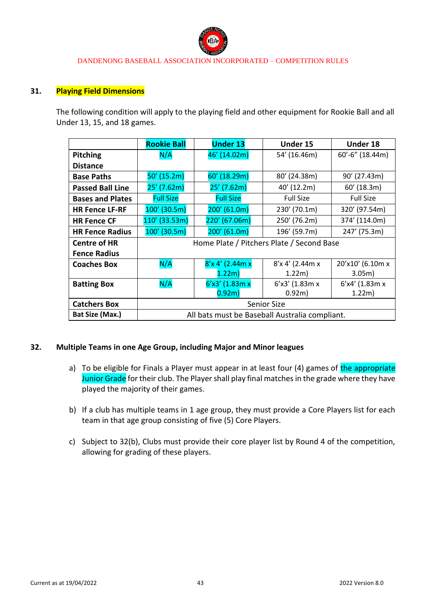

### **31. Playing Field Dimensions**

The following condition will apply to the playing field and other equipment for Rookie Ball and all Under 13, 15, and 18 games.

|                         | <b>Rookie Ball</b>                             | <b>Under 13</b>   | Under 15         | <b>Under 18</b>  |
|-------------------------|------------------------------------------------|-------------------|------------------|------------------|
| <b>Pitching</b>         | N/A                                            | 46' (14.02m)      | 54' (16.46m)     | 60'-6" (18.44m)  |
| <b>Distance</b>         |                                                |                   |                  |                  |
| <b>Base Paths</b>       | $50'$ (15.2m)                                  | 60' (18.29m)      | 80' (24.38m)     | 90' (27.43m)     |
| <b>Passed Ball Line</b> | $25'$ (7.62m)                                  | $25'$ (7.62m)     | 40' (12.2m)      | 60' (18.3m)      |
| <b>Bases and Plates</b> | <b>Full Size</b>                               | <b>Full Size</b>  | <b>Full Size</b> | <b>Full Size</b> |
| <b>HR Fence LF-RF</b>   | $100'$ (30.5m)                                 | $200'$ (61.0m)    | 230' (70.1m)     | 320' (97.54m)    |
| <b>HR Fence CF</b>      | 110' (33.53m)                                  | 220' (67.06m)     | 250' (76.2m)     | 374' (114.0m)    |
| <b>HR Fence Radius</b>  | 100' (30.5m)                                   | $200'$ (61.0m)    | 196' (59.7m)     | 247' (75.3m)     |
| <b>Centre of HR</b>     | Home Plate / Pitchers Plate / Second Base      |                   |                  |                  |
| <b>Fence Radius</b>     |                                                |                   |                  |                  |
| <b>Coaches Box</b>      | N/A                                            | 8'x 4' (2.44m x   | 8'x 4' (2.44m x  | 20'x10' (6.10m x |
|                         |                                                | 1.22m             | 1.22m)           | 3.05m)           |
| <b>Batting Box</b>      | N/A                                            | $6'x3'$ (1.83m x  | $6'x3'$ (1.83m x | 6'x4' (1.83m x   |
|                         |                                                | 0.92 <sub>m</sub> | 0.92m)           | 1.22m)           |
| <b>Catchers Box</b>     | <b>Senior Size</b>                             |                   |                  |                  |
| Bat Size (Max.)         | All bats must be Baseball Australia compliant. |                   |                  |                  |

#### **32. Multiple Teams in one Age Group, including Major and Minor leagues**

- a) To be eligible for Finals a Player must appear in at least four (4) games of the appropriate Junior Grade for their club. The Player shall play final matches in the grade where they have played the majority of their games.
- b) If a club has multiple teams in 1 age group, they must provide a Core Players list for each team in that age group consisting of five (5) Core Players.
- c) Subject to 32(b), Clubs must provide their core player list by Round 4 of the competition, allowing for grading of these players.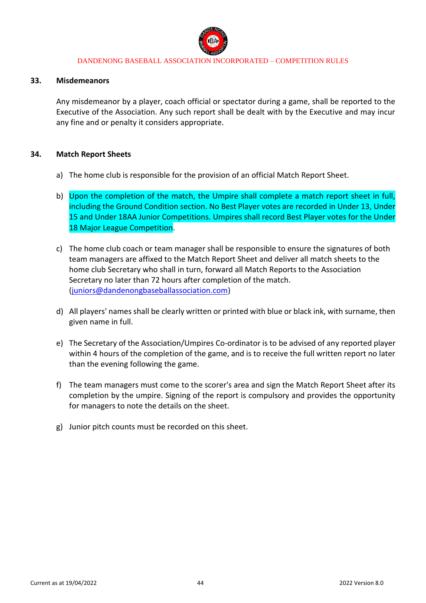

#### **33. Misdemeanors**

Any misdemeanor by a player, coach official or spectator during a game, shall be reported to the Executive of the Association. Any such report shall be dealt with by the Executive and may incur any fine and or penalty it considers appropriate.

### **34. Match Report Sheets**

- a) The home club is responsible for the provision of an official Match Report Sheet.
- b) Upon the completion of the match, the Umpire shall complete a match report sheet in full, including the Ground Condition section. No Best Player votes are recorded in Under 13, Under 15 and Under 18AA Junior Competitions. Umpires shall record Best Player votes for the Under 18 Major League Competition.
- c) The home club coach or team manager shall be responsible to ensure the signatures of both team managers are affixed to the Match Report Sheet and deliver all match sheets to the home club Secretary who shall in turn, forward all Match Reports to the Association Secretary no later than 72 hours after completion of the match. [\(juniors@dandenongbaseballassociation.com\)](mailto:juniors@dandenongbaseballassociation.com)
- d) All players' names shall be clearly written or printed with blue or black ink, with surname, then given name in full.
- e) The Secretary of the Association/Umpires Co-ordinator is to be advised of any reported player within 4 hours of the completion of the game, and is to receive the full written report no later than the evening following the game.
- f) The team managers must come to the scorer's area and sign the Match Report Sheet after its completion by the umpire. Signing of the report is compulsory and provides the opportunity for managers to note the details on the sheet.
- g) Junior pitch counts must be recorded on this sheet.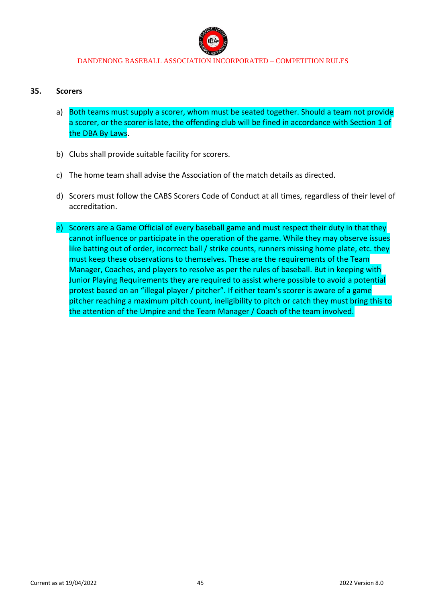

#### **35. Scorers**

- a) Both teams must supply a scorer, whom must be seated together. Should a team not provide a scorer, or the scorer is late, the offending club will be fined in accordance with Section 1 of the DBA By Laws.
- b) Clubs shall provide suitable facility for scorers.
- c) The home team shall advise the Association of the match details as directed.
- d) Scorers must follow the CABS Scorers Code of Conduct at all times, regardless of their level of accreditation.
- e) Scorers are a Game Official of every baseball game and must respect their duty in that they cannot influence or participate in the operation of the game. While they may observe issues like batting out of order, incorrect ball / strike counts, runners missing home plate, etc. they must keep these observations to themselves. These are the requirements of the Team Manager, Coaches, and players to resolve as per the rules of baseball. But in keeping with Junior Playing Requirements they are required to assist where possible to avoid a potential protest based on an "illegal player / pitcher". If either team's scorer is aware of a game pitcher reaching a maximum pitch count, ineligibility to pitch or catch they must bring this to the attention of the Umpire and the Team Manager / Coach of the team involved.